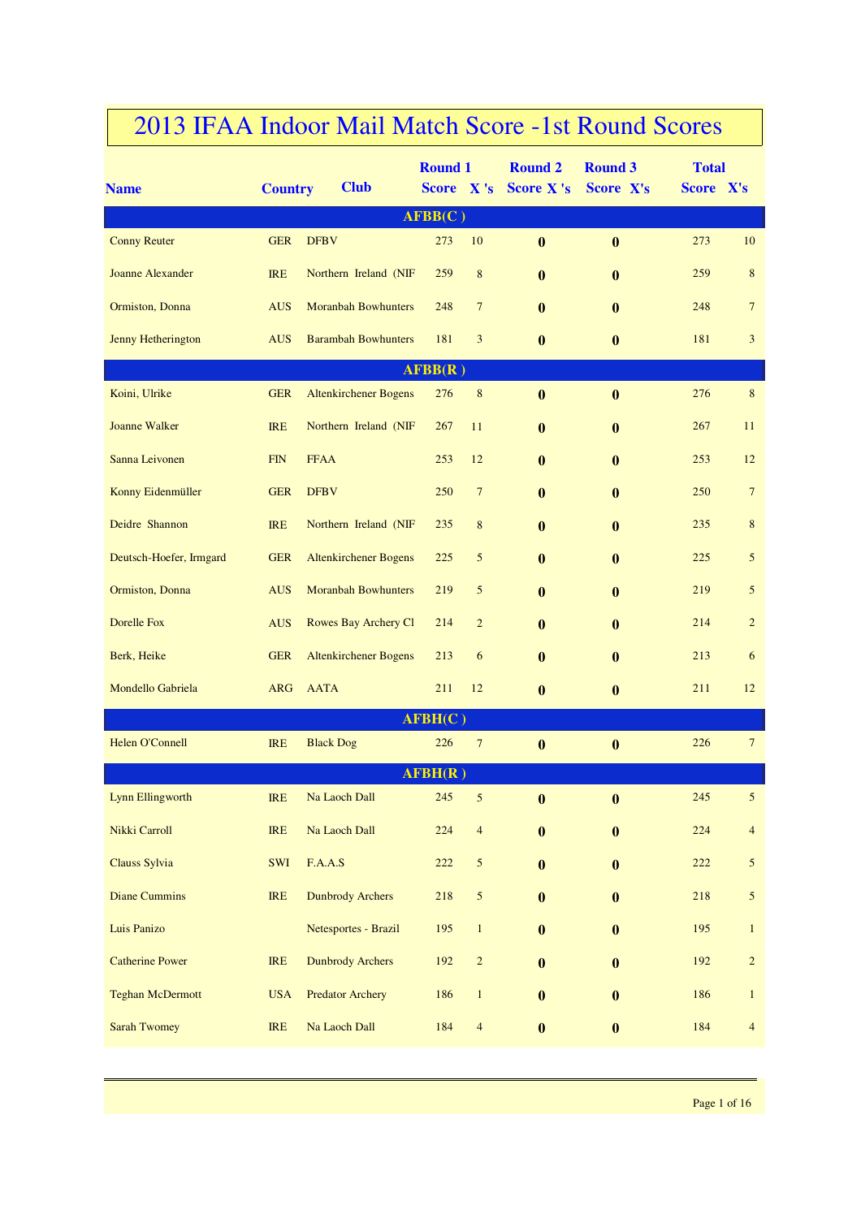|                         |                |                              | <b>Round 1</b> |                          | <b>Round 2</b>   | <b>Round 3</b>   | <b>Total</b> |                 |
|-------------------------|----------------|------------------------------|----------------|--------------------------|------------------|------------------|--------------|-----------------|
| <b>Name</b>             | <b>Country</b> | <b>Club</b>                  | Score X's      |                          | <b>Score X's</b> | <b>Score X's</b> | Score X's    |                 |
|                         |                |                              | AFBB(C)        |                          |                  |                  |              |                 |
| <b>Conny Reuter</b>     | <b>GER</b>     | <b>DFBV</b>                  | 273            | 10                       | $\bf{0}$         | $\mathbf{0}$     | 273          | 10              |
| <b>Joanne Alexander</b> | <b>IRE</b>     | Northern Ireland (NIF        | 259            | $\,$ 8 $\,$              | $\mathbf{0}$     | $\bf{0}$         | 259          | $\,8\,$         |
| Ormiston, Donna         | <b>AUS</b>     | <b>Moranbah Bowhunters</b>   | 248            | $\overline{7}$           | $\mathbf{0}$     | $\bf{0}$         | 248          | $7\phantom{.0}$ |
| Jenny Hetherington      | <b>AUS</b>     | <b>Barambah Bowhunters</b>   | 181            | 3                        | $\mathbf{0}$     | $\bf{0}$         | 181          | 3               |
|                         |                |                              | AFBB(R)        |                          |                  |                  |              |                 |
| Koini, Ulrike           | <b>GER</b>     | <b>Altenkirchener Bogens</b> | 276            | $\,8\,$                  | $\bf{0}$         | $\bf{0}$         | 276          | $\,8\,$         |
| Joanne Walker           | <b>IRE</b>     | Northern Ireland (NIF        | 267            | 11                       | $\bf{0}$         | $\bf{0}$         | 267          | 11              |
| Sanna Leivonen          | <b>FIN</b>     | <b>FFAA</b>                  | 253            | 12                       | $\mathbf{0}$     | $\bf{0}$         | 253          | 12              |
| Konny Eidenmüller       | <b>GER</b>     | <b>DFBV</b>                  | 250            | $7\phantom{.0}$          | $\mathbf{0}$     | $\bf{0}$         | 250          | $7\phantom{.0}$ |
| Deidre Shannon          | <b>IRE</b>     | Northern Ireland (NIF        | 235            | $\,8\,$                  | $\mathbf{0}$     | $\bf{0}$         | 235          | 8               |
| Deutsch-Hoefer, Irmgard | <b>GER</b>     | <b>Altenkirchener Bogens</b> | 225            | 5                        | $\bf{0}$         | $\bf{0}$         | 225          | 5               |
| Ormiston, Donna         | <b>AUS</b>     | <b>Moranbah Bowhunters</b>   | 219            | 5                        | $\mathbf{0}$     | $\bf{0}$         | 219          | 5               |
| Dorelle Fox             | <b>AUS</b>     | Rowes Bay Archery Cl         | 214            | $\overline{2}$           | $\mathbf{0}$     | $\bf{0}$         | 214          | $\overline{c}$  |
| Berk, Heike             | <b>GER</b>     | <b>Altenkirchener Bogens</b> | 213            | 6                        | $\mathbf{0}$     | $\bf{0}$         | 213          | 6               |
| Mondello Gabriela       | <b>ARG</b>     | <b>AATA</b>                  | 211            | 12                       | $\bf{0}$         | $\bf{0}$         | 211          | 12              |
|                         |                |                              | AFBH(C)        |                          |                  |                  |              |                 |
| Helen O'Connell         | <b>IRE</b>     | <b>Black Dog</b>             | 226            | $7\phantom{.0}$          | $\boldsymbol{0}$ | $\mathbf{0}$     | 226          | $7\phantom{.0}$ |
|                         |                |                              | AFBH(R)        |                          |                  |                  |              |                 |
| <b>Lynn Ellingworth</b> | IRE            | Na Laoch Dall                | 245            | 5                        | $\bf{0}$         | $\bf{0}$         | 245          | $\mathfrak{S}$  |
| Nikki Carroll           | IRE            | Na Laoch Dall                | 224            | $\overline{4}$           | $\bf{0}$         | $\bf{0}$         | 224          | $\overline{4}$  |
| Clauss Sylvia           | SWI            | F.A.A.S                      | 222            | 5                        | $\bf{0}$         | $\bf{0}$         | 222          | $\mathfrak{S}$  |
| <b>Diane Cummins</b>    | <b>IRE</b>     | <b>Dunbrody Archers</b>      | 218            | 5                        | $\bf{0}$         | $\bf{0}$         | 218          | $\sqrt{5}$      |
| Luis Panizo             |                | Netesportes - Brazil         | 195            | $\mathbf{1}$             | $\bf{0}$         | $\bf{0}$         | 195          | $\mathbf{1}$    |
| <b>Catherine Power</b>  | IRE            | <b>Dunbrody Archers</b>      | 192            | $\overline{c}$           | $\bf{0}$         | $\bf{0}$         | 192          | $\overline{c}$  |
| <b>Teghan McDermott</b> | <b>USA</b>     | <b>Predator Archery</b>      | 186            | $\mathbf{1}$             | $\bf{0}$         | $\bf{0}$         | 186          | $1\,$           |
| <b>Sarah Twomey</b>     | IRE            | Na Laoch Dall                | 184            | $\overline{\mathcal{A}}$ | $\boldsymbol{0}$ | $\bf{0}$         | 184          | $\overline{4}$  |
|                         |                |                              |                |                          |                  |                  |              |                 |

## 2013 IFAA Indoor Mail Match Score -1st Round Scores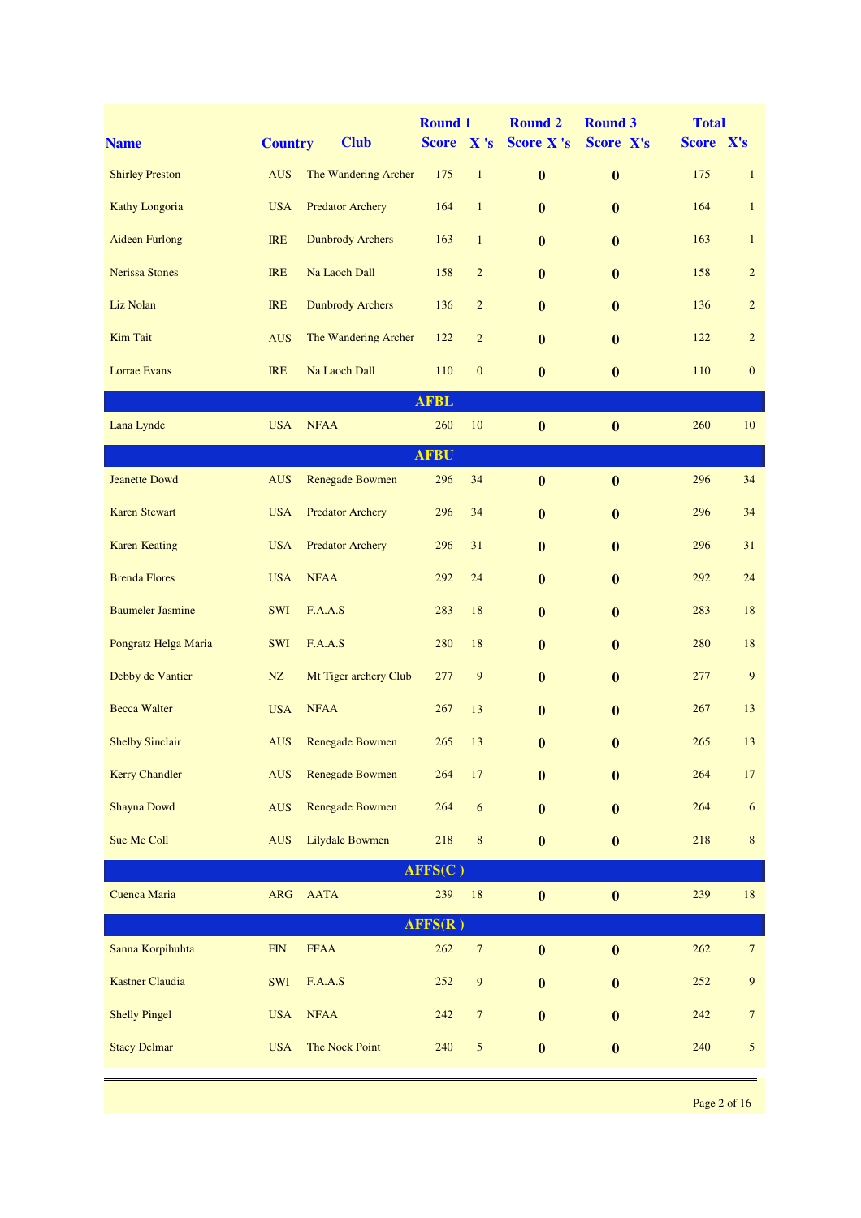| <b>Name</b>             | <b>Country</b> | <b>Club</b>             | <b>Round 1</b><br><b>Score</b> | X's              | <b>Round 2</b><br><b>Score X's</b> | <b>Round 3</b><br>Score X's | <b>Total</b><br>Score X's |                 |
|-------------------------|----------------|-------------------------|--------------------------------|------------------|------------------------------------|-----------------------------|---------------------------|-----------------|
| <b>Shirley Preston</b>  | <b>AUS</b>     | The Wandering Archer    | 175                            | $\mathbf{1}$     | $\bf{0}$                           | $\bf{0}$                    | 175                       | $\mathbf{1}$    |
| Kathy Longoria          | <b>USA</b>     | <b>Predator Archery</b> | 164                            | $\mathbf{1}$     | $\bf{0}$                           | $\bf{0}$                    | 164                       | $\mathbf{1}$    |
| <b>Aideen Furlong</b>   | <b>IRE</b>     | <b>Dunbrody Archers</b> | 163                            | $\mathbf{1}$     | $\mathbf{0}$                       | $\bf{0}$                    | 163                       | $\mathbf{1}$    |
| <b>Nerissa Stones</b>   | <b>IRE</b>     | Na Laoch Dall           | 158                            | $\sqrt{2}$       | $\mathbf{0}$                       | $\bf{0}$                    | 158                       | $\overline{c}$  |
| Liz Nolan               | <b>IRE</b>     | <b>Dunbrody Archers</b> | 136                            | $\overline{c}$   | $\mathbf{0}$                       | $\bf{0}$                    | 136                       | $\overline{c}$  |
| <b>Kim Tait</b>         | <b>AUS</b>     | The Wandering Archer    | 122                            | $\sqrt{2}$       | $\bf{0}$                           | $\boldsymbol{0}$            | 122                       | $\overline{c}$  |
| Lorrae Evans            | <b>IRE</b>     | Na Laoch Dall           | 110                            | $\boldsymbol{0}$ | $\bf{0}$                           | $\bf{0}$                    | 110                       | $\mathbf{0}$    |
|                         |                |                         | <b>AFBL</b>                    |                  |                                    |                             |                           |                 |
| Lana Lynde              | <b>USA</b>     | <b>NFAA</b>             | 260                            | $10\,$           | $\bf{0}$                           | $\bf{0}$                    | 260                       | 10              |
|                         |                |                         | <b>AFBU</b>                    |                  |                                    |                             |                           |                 |
| <b>Jeanette Dowd</b>    | <b>AUS</b>     | <b>Renegade Bowmen</b>  | 296                            | 34               | $\bf{0}$                           | $\bf{0}$                    | 296                       | 34              |
| <b>Karen Stewart</b>    | <b>USA</b>     | <b>Predator Archery</b> | 296                            | 34               | $\bf{0}$                           | $\bf{0}$                    | 296                       | 34              |
| <b>Karen Keating</b>    | <b>USA</b>     | <b>Predator Archery</b> | 296                            | 31               | $\bf{0}$                           | $\bf{0}$                    | 296                       | 31              |
| <b>Brenda Flores</b>    | <b>USA</b>     | <b>NFAA</b>             | 292                            | 24               | $\bf{0}$                           | $\boldsymbol{0}$            | 292                       | 24              |
| <b>Baumeler Jasmine</b> | <b>SWI</b>     | F.A.A.S                 | 283                            | 18               | $\bf{0}$                           | $\bf{0}$                    | 283                       | 18              |
| Pongratz Helga Maria    | <b>SWI</b>     | F.A.A.S                 | 280                            | 18               | $\bf{0}$                           | $\bf{0}$                    | 280                       | 18              |
| Debby de Vantier        | $\rm{NZ}$      | Mt Tiger archery Club   | 277                            | 9                | $\bf{0}$                           | $\boldsymbol{0}$            | 277                       | $\overline{9}$  |
| <b>Becca Walter</b>     | <b>USA</b>     | <b>NFAA</b>             | 267                            | 13               | $\bf{0}$                           | $\bf{0}$                    | 267                       | 13              |
| <b>Shelby Sinclair</b>  | <b>AUS</b>     | <b>Renegade Bowmen</b>  | 265                            | 13               | $\bf{0}$                           | $\bf{0}$                    | 265                       | 13              |
| <b>Kerry Chandler</b>   | <b>AUS</b>     | <b>Renegade Bowmen</b>  | 264                            | 17               | $\bf{0}$                           | $\bf{0}$                    | 264                       | 17              |
| Shayna Dowd             | <b>AUS</b>     | <b>Renegade Bowmen</b>  | 264                            | 6                | $\bf{0}$                           | $\bf{0}$                    | 264                       | $\sqrt{6}$      |
| Sue Mc Coll             | <b>AUS</b>     | Lilydale Bowmen         | 218                            | $\,8\,$          | $\boldsymbol{0}$                   | $\bf{0}$                    | 218                       | $\bf 8$         |
|                         |                |                         | AFFS(C)                        |                  |                                    |                             |                           |                 |
| Cuenca Maria            | <b>ARG</b>     | AATA                    | 239                            | $18\,$           | $\bf{0}$                           | $\bf{0}$                    | 239                       | 18              |
|                         |                |                         | AFFS(R)                        |                  |                                    |                             |                           |                 |
| Sanna Korpihuhta        | ${\rm FIN}$    | <b>FFAA</b>             | 262                            | $\boldsymbol{7}$ | $\bf{0}$                           | $\boldsymbol{0}$            | 262                       | $7\phantom{.0}$ |
| <b>Kastner Claudia</b>  | SWI            | F.A.A.S                 | 252                            | $\overline{9}$   | $\bf{0}$                           | $\bf{0}$                    | 252                       | $\overline{9}$  |
| <b>Shelly Pingel</b>    | <b>USA</b>     | <b>NFAA</b>             | 242                            | $\boldsymbol{7}$ | $\bf{0}$                           | $\bf{0}$                    | 242                       | $\overline{7}$  |
| <b>Stacy Delmar</b>     | <b>USA</b>     | The Nock Point          | 240                            | $\sqrt{5}$       | $\boldsymbol{0}$                   | $\boldsymbol{0}$            | 240                       | $\mathfrak{S}$  |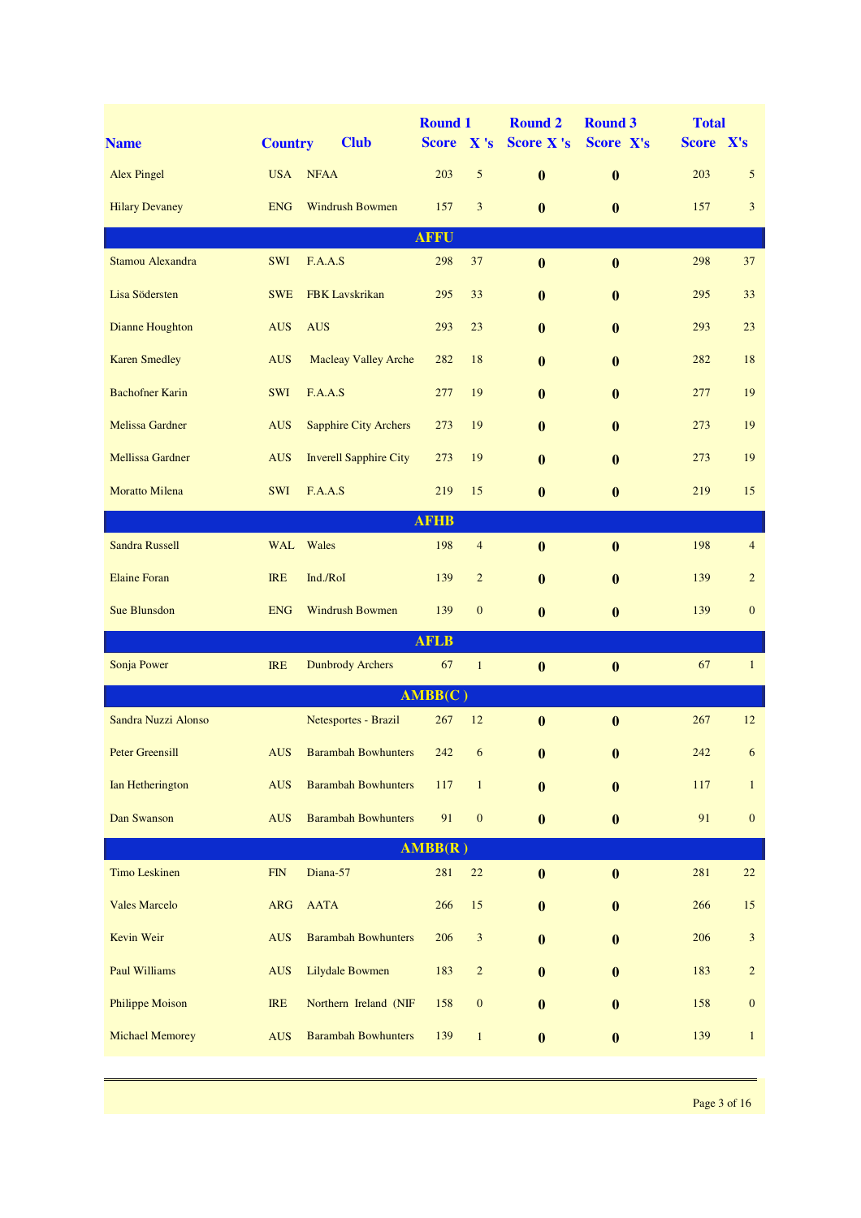| <b>Name</b>             | <b>Country</b> | <b>Club</b>                    | <b>Round 1</b><br><b>Score</b> | X's                     | <b>Round 2</b><br><b>Score X's</b> | <b>Round 3</b><br>Score X's | <b>Total</b><br>Score X's |                  |
|-------------------------|----------------|--------------------------------|--------------------------------|-------------------------|------------------------------------|-----------------------------|---------------------------|------------------|
| <b>Alex Pingel</b>      | <b>USA</b>     | <b>NFAA</b>                    | 203                            | 5                       | $\bf{0}$                           | $\bf{0}$                    | 203                       | 5                |
| <b>Hilary Devaney</b>   | <b>ENG</b>     | <b>Windrush Bowmen</b>         | 157                            | 3                       | $\bf{0}$                           | $\bf{0}$                    | 157                       | $\mathbf{3}$     |
|                         |                |                                | <b>AFFU</b>                    |                         |                                    |                             |                           |                  |
| Stamou Alexandra        | <b>SWI</b>     | F.A.A.S                        | 298                            | 37                      | $\bf{0}$                           | $\bf{0}$                    | 298                       | 37               |
| Lisa Södersten          | <b>SWE</b>     | <b>FBK</b> Lavskrikan          | 295                            | 33                      | $\bf{0}$                           | $\bf{0}$                    | 295                       | 33               |
| Dianne Houghton         | <b>AUS</b>     | <b>AUS</b>                     | 293                            | 23                      | $\mathbf{0}$                       | $\bf{0}$                    | 293                       | 23               |
| <b>Karen Smedley</b>    | <b>AUS</b>     | <b>Macleay Valley Arche</b>    | 282                            | 18                      | $\mathbf{0}$                       | $\mathbf{0}$                | 282                       | 18               |
| <b>Bachofner Karin</b>  | <b>SWI</b>     | F.A.A.S                        | 277                            | 19                      | $\bf{0}$                           | $\bf{0}$                    | 277                       | 19               |
| <b>Melissa Gardner</b>  | <b>AUS</b>     | <b>Sapphire City Archers</b>   | 273                            | 19                      | $\bf{0}$                           | $\bf{0}$                    | 273                       | 19               |
| <b>Mellissa Gardner</b> | <b>AUS</b>     | <b>Inverell Sapphire City</b>  | 273                            | 19                      | $\bf{0}$                           | $\bf{0}$                    | 273                       | 19               |
| <b>Moratto Milena</b>   | <b>SWI</b>     | F.A.A.S                        | 219                            | 15                      | $\bf{0}$                           | $\bf{0}$                    | 219                       | 15               |
|                         |                |                                | <b>AFHB</b>                    |                         |                                    |                             |                           |                  |
| <b>Sandra Russell</b>   | <b>WAL</b>     | Wales                          | 198                            | $\overline{4}$          | $\bf{0}$                           | $\bf{0}$                    | 198                       | $\overline{4}$   |
| <b>Elaine Foran</b>     | <b>IRE</b>     | Ind./RoI                       | 139                            | $\overline{c}$          | $\bf{0}$                           | $\bf{0}$                    | 139                       | $\overline{c}$   |
| <b>Sue Blunsdon</b>     | <b>ENG</b>     | <b>Windrush Bowmen</b>         | 139                            | $\mathbf{0}$            | $\mathbf{0}$                       | $\bf{0}$                    | 139                       | $\mathbf{0}$     |
|                         |                |                                | <b>AFLB</b>                    |                         |                                    |                             |                           |                  |
| Sonja Power             | <b>IRE</b>     | <b>Dunbrody Archers</b>        | 67                             | $\mathbf{1}$            | $\bf{0}$                           | $\bf{0}$                    | 67                        | $\mathbf{1}$     |
|                         |                |                                | AMBB(C)                        |                         |                                    |                             |                           |                  |
| Sandra Nuzzi Alonso     |                | Netesportes - Brazil           | 267                            | 12                      | $\bf{0}$                           | $\bf{0}$                    | 267                       | 12               |
| <b>Peter Greensill</b>  |                | <b>AUS</b> Barambah Bowhunters |                                | $242\qquad 6$           | $\mathbf{0}$                       | $\bf{0}$                    | 242                       | 6                |
| Ian Hetherington        | <b>AUS</b>     | <b>Barambah Bowhunters</b>     | 117                            | $\mathbf{1}$            | $\bf{0}$                           | $\bf{0}$                    | 117                       | $\mathbf{1}$     |
| Dan Swanson             | <b>AUS</b>     | <b>Barambah Bowhunters</b>     | 91                             | $\boldsymbol{0}$        | $\bf{0}$                           | $\boldsymbol{0}$            | 91                        | $\boldsymbol{0}$ |
|                         |                |                                | AMBB(R)                        |                         |                                    |                             |                           |                  |
| <b>Timo Leskinen</b>    | FIN            | Diana-57                       | 281                            | $22\,$                  | $\bf{0}$                           | $\bf{0}$                    | 281                       | 22               |
| <b>Vales Marcelo</b>    | <b>ARG</b>     | <b>AATA</b>                    | 266                            | 15                      | $\bf{0}$                           | $\mathbf{0}$                | 266                       | 15               |
| Kevin Weir              | <b>AUS</b>     | <b>Barambah Bowhunters</b>     | 206                            | $\mathbf{3}$            | $\bf{0}$                           | $\bf{0}$                    | 206                       | $\sqrt{3}$       |
| <b>Paul Williams</b>    | <b>AUS</b>     | <b>Lilydale Bowmen</b>         | 183                            | $\overline{\mathbf{c}}$ | $\bf{0}$                           | $\bf{0}$                    | 183                       | $\sqrt{2}$       |
| <b>Philippe Moison</b>  | IRE            | Northern Ireland (NIF          | 158                            | $\boldsymbol{0}$        | $\bf{0}$                           | $\mathbf{0}$                | 158                       | $\boldsymbol{0}$ |
| <b>Michael Memorey</b>  | <b>AUS</b>     | <b>Barambah Bowhunters</b>     | 139                            | $1\,$                   | $\bf{0}$                           | $\boldsymbol{0}$            | 139                       | $\mathbf{1}$     |
|                         |                |                                |                                |                         |                                    |                             |                           |                  |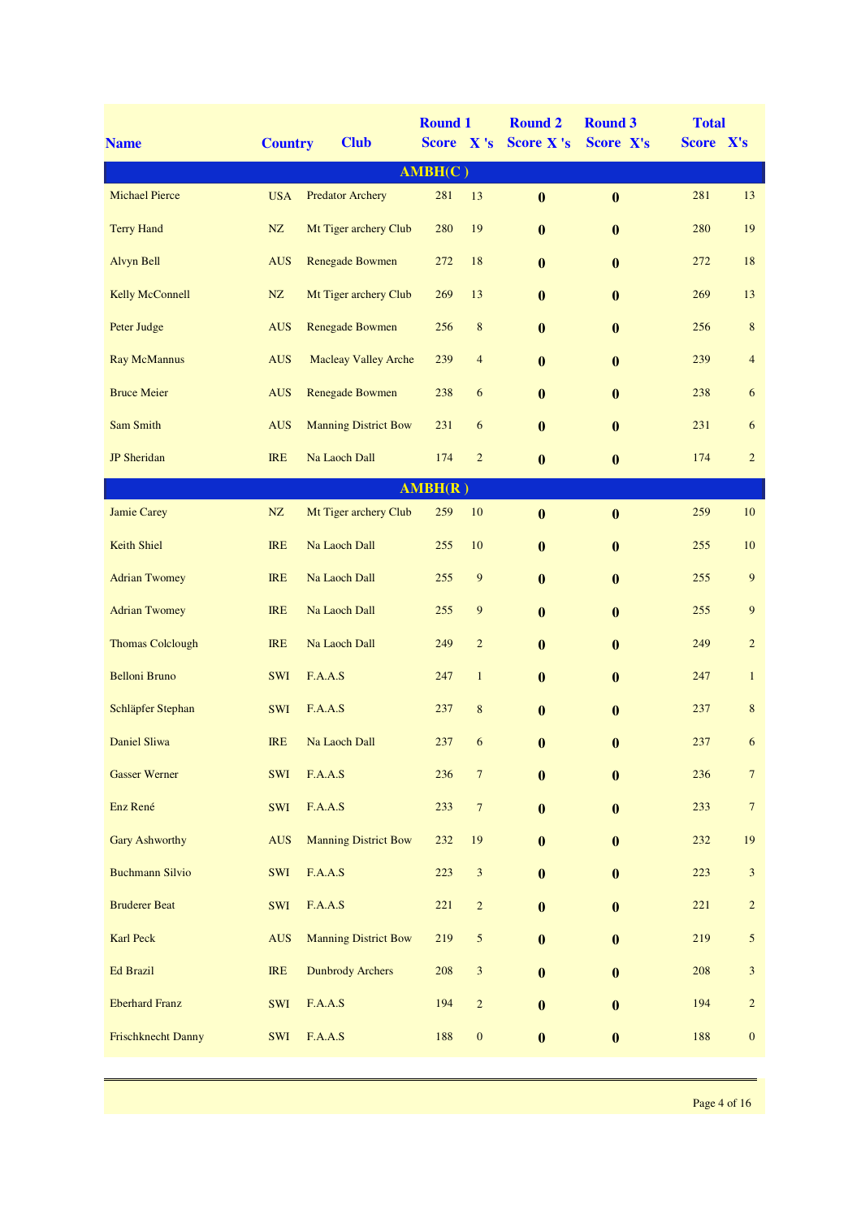| <b>Name</b>             | <b>Country</b> | <b>Club</b>                 | <b>Round 1</b><br>Score X's |                             | <b>Round 2</b><br><b>Score X's</b> | <b>Round 3</b><br>Score X's | <b>Total</b><br>Score X's |                  |  |  |
|-------------------------|----------------|-----------------------------|-----------------------------|-----------------------------|------------------------------------|-----------------------------|---------------------------|------------------|--|--|
|                         |                |                             | AMBH(C)                     |                             |                                    |                             |                           |                  |  |  |
| <b>Michael Pierce</b>   | <b>USA</b>     | <b>Predator Archery</b>     | 281                         | 13                          | $\bf{0}$                           | $\bf{0}$                    | 281                       | 13               |  |  |
| <b>Terry Hand</b>       | NZ             | Mt Tiger archery Club       | 280                         | 19                          | $\bf{0}$                           | $\boldsymbol{0}$            | 280                       | 19               |  |  |
| <b>Alvyn Bell</b>       | <b>AUS</b>     | Renegade Bowmen             | 272                         | 18                          | $\bf{0}$                           | $\bf{0}$                    | 272                       | 18               |  |  |
| <b>Kelly McConnell</b>  | NZ             | Mt Tiger archery Club       | 269                         | 13                          | $\bf{0}$                           | $\bf{0}$                    | 269                       | 13               |  |  |
| Peter Judge             | <b>AUS</b>     | <b>Renegade Bowmen</b>      | 256                         | $\,$ 8 $\,$                 | $\bf{0}$                           | $\bf{0}$                    | 256                       | $\,8\,$          |  |  |
| <b>Ray McMannus</b>     | <b>AUS</b>     | <b>Macleay Valley Arche</b> | 239                         | $\overline{4}$              | $\bf{0}$                           | $\bf{0}$                    | 239                       | $\overline{4}$   |  |  |
| <b>Bruce Meier</b>      | <b>AUS</b>     | <b>Renegade Bowmen</b>      | 238                         | 6                           | $\bf{0}$                           | $\bf{0}$                    | 238                       | 6                |  |  |
| Sam Smith               | <b>AUS</b>     | <b>Manning District Bow</b> | 231                         | 6                           | $\bf{0}$                           | $\bf{0}$                    | 231                       | 6                |  |  |
| <b>JP</b> Sheridan      | <b>IRE</b>     | Na Laoch Dall               | 174                         | $\sqrt{2}$                  | $\bf{0}$                           | $\boldsymbol{0}$            | 174                       | $\overline{c}$   |  |  |
| AMBH(R)                 |                |                             |                             |                             |                                    |                             |                           |                  |  |  |
| Jamie Carey             | $\rm{NZ}$      | Mt Tiger archery Club       | 259                         | 10                          | $\bf{0}$                           | $\boldsymbol{0}$            | 259                       | $10\,$           |  |  |
| Keith Shiel             | IRE            | Na Laoch Dall               | 255                         | 10                          | $\bf{0}$                           | $\boldsymbol{0}$            | 255                       | 10               |  |  |
| <b>Adrian Twomey</b>    | <b>IRE</b>     | Na Laoch Dall               | 255                         | $\overline{9}$              | $\bf{0}$                           | $\boldsymbol{0}$            | 255                       | $\boldsymbol{9}$ |  |  |
| <b>Adrian Twomey</b>    | <b>IRE</b>     | Na Laoch Dall               | 255                         | $\overline{9}$              | $\bf{0}$                           | $\boldsymbol{0}$            | 255                       | $\boldsymbol{9}$ |  |  |
| <b>Thomas Colclough</b> | <b>IRE</b>     | Na Laoch Dall               | 249                         | $\overline{2}$              | $\bf{0}$                           | $\bf{0}$                    | 249                       | $\overline{c}$   |  |  |
| <b>Belloni Bruno</b>    | <b>SWI</b>     | F.A.A.S                     | 247                         | $\mathbf{1}$                | $\bf{0}$                           | $\bf{0}$                    | 247                       | $\mathbf{1}$     |  |  |
| Schläpfer Stephan       | SWI            | F.A.A.S                     | 237                         | $\,$ 8 $\,$                 | $\bf{0}$                           | $\bf{0}$                    | 237                       | $\,8\,$          |  |  |
| Daniel Sliwa            | <b>IRE</b>     | Na Laoch Dall               | 237                         | 6                           | $\bf{0}$                           | $\bf{0}$                    | 237                       | 6                |  |  |
| <b>Gasser Werner</b>    | SWI            | F.A.A.S                     | 236                         | $\boldsymbol{7}$            | $\bf{0}$                           | $\bf{0}$                    | 236                       | $\overline{7}$   |  |  |
| Enz René                | SWI            | F.A.A.S                     | 233                         | $\boldsymbol{7}$            | $\bf{0}$                           | $\bf{0}$                    | 233                       | $\boldsymbol{7}$ |  |  |
| <b>Gary Ashworthy</b>   | <b>AUS</b>     | <b>Manning District Bow</b> | 232                         | 19                          | $\bf{0}$                           | $\boldsymbol{0}$            | 232                       | 19               |  |  |
| <b>Buchmann Silvio</b>  | SWI            | F.A.A.S                     | 223                         | $\ensuremath{\mathfrak{Z}}$ | $\bf{0}$                           | $\bf{0}$                    | 223                       | $\mathfrak{Z}$   |  |  |
| <b>Bruderer Beat</b>    | SWI            | F.A.A.S                     | 221                         | $\sqrt{2}$                  | $\bf{0}$                           | $\bf{0}$                    | 221                       | $\overline{c}$   |  |  |
| Karl Peck               | <b>AUS</b>     | <b>Manning District Bow</b> | 219                         | 5                           | $\bf{0}$                           | $\bf{0}$                    | 219                       | $\mathfrak{S}$   |  |  |
| <b>Ed Brazil</b>        | <b>IRE</b>     | <b>Dunbrody Archers</b>     | 208                         | $\mathfrak{Z}$              | $\bf{0}$                           | $\boldsymbol{0}$            | 208                       | $\sqrt{3}$       |  |  |
| <b>Eberhard Franz</b>   | SWI            | F.A.A.S                     | 194                         | $\overline{c}$              | $\bf{0}$                           | $\bf{0}$                    | 194                       | $\overline{c}$   |  |  |
| Frischknecht Danny      | SWI            | F.A.A.S                     | 188                         | $\boldsymbol{0}$            | $\bf{0}$                           | $\bf{0}$                    | 188                       | $\boldsymbol{0}$ |  |  |
|                         |                |                             |                             |                             |                                    |                             |                           |                  |  |  |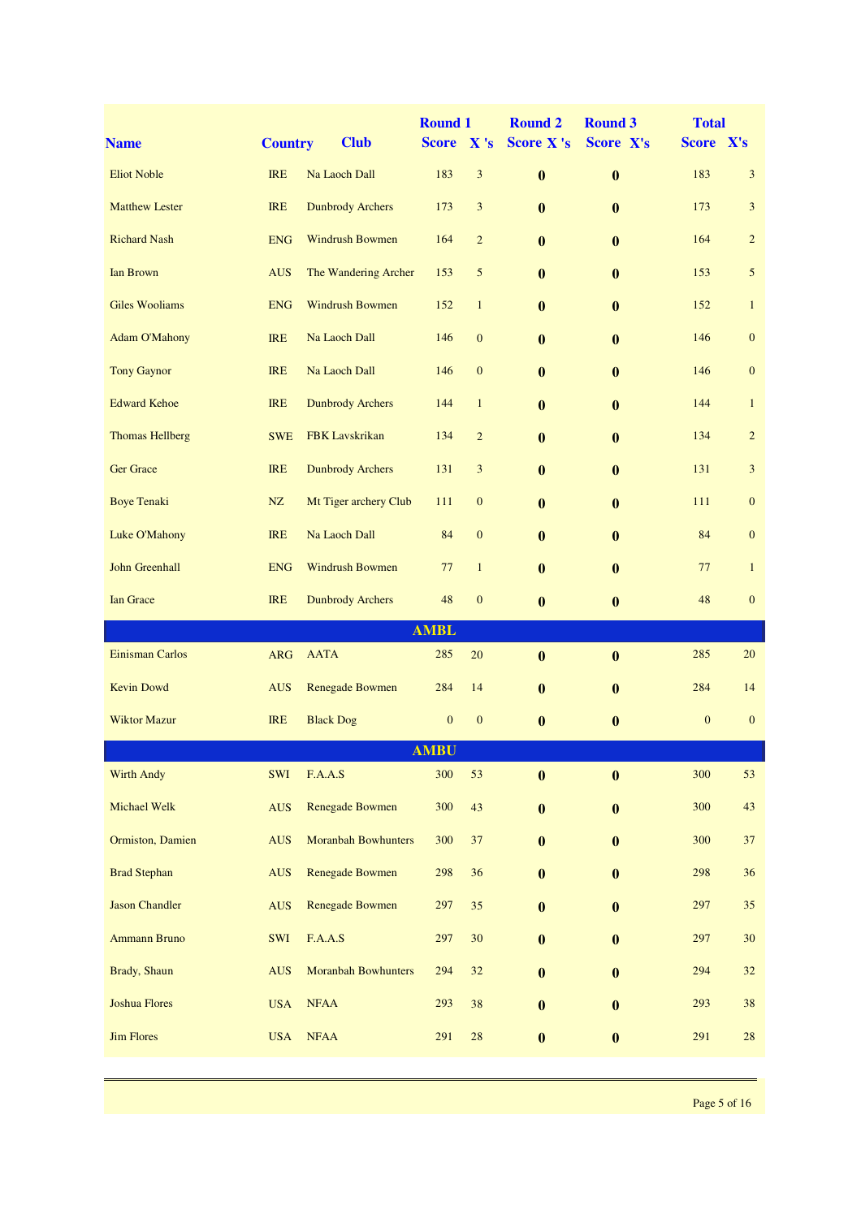| <b>Name</b>            | <b>Country</b> | <b>Club</b>                | <b>Round 1</b><br><b>Score</b> | X's              | <b>Round 2</b><br>Score X's | <b>Round 3</b><br>Score X's | <b>Total</b><br>Score X's |                  |
|------------------------|----------------|----------------------------|--------------------------------|------------------|-----------------------------|-----------------------------|---------------------------|------------------|
|                        |                |                            |                                |                  |                             |                             |                           |                  |
| <b>Eliot Noble</b>     | <b>IRE</b>     | Na Laoch Dall              | 183                            | $\mathfrak{Z}$   | $\bf{0}$                    | $\bf{0}$                    | 183                       | $\mathbf{3}$     |
| <b>Matthew Lester</b>  | <b>IRE</b>     | <b>Dunbrody Archers</b>    | 173                            | $\mathfrak{Z}$   | $\mathbf{0}$                | $\bf{0}$                    | 173                       | $\mathbf{3}$     |
| <b>Richard Nash</b>    | <b>ENG</b>     | <b>Windrush Bowmen</b>     | 164                            | $\overline{2}$   | $\mathbf{0}$                | $\mathbf{0}$                | 164                       | $\overline{2}$   |
| Ian Brown              | <b>AUS</b>     | The Wandering Archer       | 153                            | 5                | $\bf{0}$                    | $\bf{0}$                    | 153                       | $\sqrt{5}$       |
| <b>Giles Wooliams</b>  | <b>ENG</b>     | Windrush Bowmen            | 152                            | $\mathbf{1}$     | $\bf{0}$                    | $\bf{0}$                    | 152                       | $\mathbf{1}$     |
| <b>Adam O'Mahony</b>   | <b>IRE</b>     | Na Laoch Dall              | 146                            | $\mathbf{0}$     | $\bf{0}$                    | $\bf{0}$                    | 146                       | $\boldsymbol{0}$ |
| <b>Tony Gaynor</b>     | <b>IRE</b>     | Na Laoch Dall              | 146                            | $\mathbf{0}$     | $\bf{0}$                    | $\bf{0}$                    | 146                       | $\mathbf{0}$     |
| <b>Edward Kehoe</b>    | <b>IRE</b>     | <b>Dunbrody Archers</b>    | 144                            | $\mathbf{1}$     | $\bf{0}$                    | $\bf{0}$                    | 144                       | $\mathbf{1}$     |
| <b>Thomas Hellberg</b> | <b>SWE</b>     | <b>FBK</b> Lavskrikan      | 134                            | $\overline{c}$   | $\bf{0}$                    | $\bf{0}$                    | 134                       | $\overline{c}$   |
| <b>Ger Grace</b>       | <b>IRE</b>     | <b>Dunbrody Archers</b>    | 131                            | $\mathfrak{Z}$   | $\bf{0}$                    | $\bf{0}$                    | 131                       | $\mathfrak{Z}$   |
| <b>Boye Tenaki</b>     | NZ             | Mt Tiger archery Club      | 111                            | $\mathbf{0}$     | $\mathbf{0}$                | $\bf{0}$                    | 111                       | $\mathbf{0}$     |
| Luke O'Mahony          | <b>IRE</b>     | Na Laoch Dall              | 84                             | $\mathbf{0}$     | $\mathbf{0}$                | $\mathbf{0}$                | 84                        | $\mathbf{0}$     |
| John Greenhall         | <b>ENG</b>     | <b>Windrush Bowmen</b>     | 77                             | $\mathbf{1}$     | $\mathbf{0}$                | $\bf{0}$                    | 77                        | $\mathbf{1}$     |
| <b>Ian Grace</b>       | <b>IRE</b>     | <b>Dunbrody Archers</b>    | 48                             | $\boldsymbol{0}$ | $\bf{0}$                    | $\bf{0}$                    | 48                        | $\boldsymbol{0}$ |
|                        |                |                            | <b>AMBL</b>                    |                  |                             |                             |                           |                  |
| Einisman Carlos        | <b>ARG</b>     | <b>AATA</b>                | 285                            | 20               | $\bf{0}$                    | $\bf{0}$                    | 285                       | 20               |
| <b>Kevin Dowd</b>      | <b>AUS</b>     | <b>Renegade Bowmen</b>     | 284                            | 14               | $\bf{0}$                    | $\bf{0}$                    | 284                       | 14               |
| <b>Wiktor Mazur</b>    | <b>IRE</b>     | <b>Black Dog</b>           | $\boldsymbol{0}$               | $\boldsymbol{0}$ | $\bf{0}$                    | $\bf{0}$                    | $\mathbf{0}$              | $\mathbf{0}$     |
|                        |                |                            | <b>AMBU</b>                    |                  |                             |                             |                           |                  |
| <b>Wirth Andy</b>      | SWI            | F.A.A.S                    | 300                            | 53               | $\bf{0}$                    | $\boldsymbol{0}$            | 300                       | 53               |
| Michael Welk           | <b>AUS</b>     | <b>Renegade Bowmen</b>     | 300                            | 43               | $\bf{0}$                    | $\bf{0}$                    | 300                       | 43               |
| Ormiston, Damien       | <b>AUS</b>     | <b>Moranbah Bowhunters</b> | 300                            | $37\,$           | $\bf{0}$                    | $\bf{0}$                    | 300                       | $37\,$           |
| <b>Brad Stephan</b>    | <b>AUS</b>     | <b>Renegade Bowmen</b>     | 298                            | 36               | $\bf{0}$                    | $\bf{0}$                    | 298                       | 36               |
| <b>Jason Chandler</b>  | <b>AUS</b>     | <b>Renegade Bowmen</b>     | 297                            | 35               | $\bf{0}$                    | $\bf{0}$                    | 297                       | 35               |
| <b>Ammann Bruno</b>    | SWI            | F.A.A.S                    | 297                            | 30               | $\bf{0}$                    | $\bf{0}$                    | 297                       | 30               |
| Brady, Shaun           | <b>AUS</b>     | <b>Moranbah Bowhunters</b> | 294                            | $32\,$           | $\bf{0}$                    | $\bf{0}$                    | 294                       | 32               |
| <b>Joshua Flores</b>   | <b>USA</b>     | <b>NFAA</b>                | 293                            | 38               | $\bf{0}$                    | $\bf{0}$                    | 293                       | 38               |
| <b>Jim Flores</b>      | <b>USA</b>     | ${\rm NFAA}$               | 291                            | $28\,$           | $\bf{0}$                    | $\bf{0}$                    | 291                       | 28               |
|                        |                |                            |                                |                  |                             |                             |                           |                  |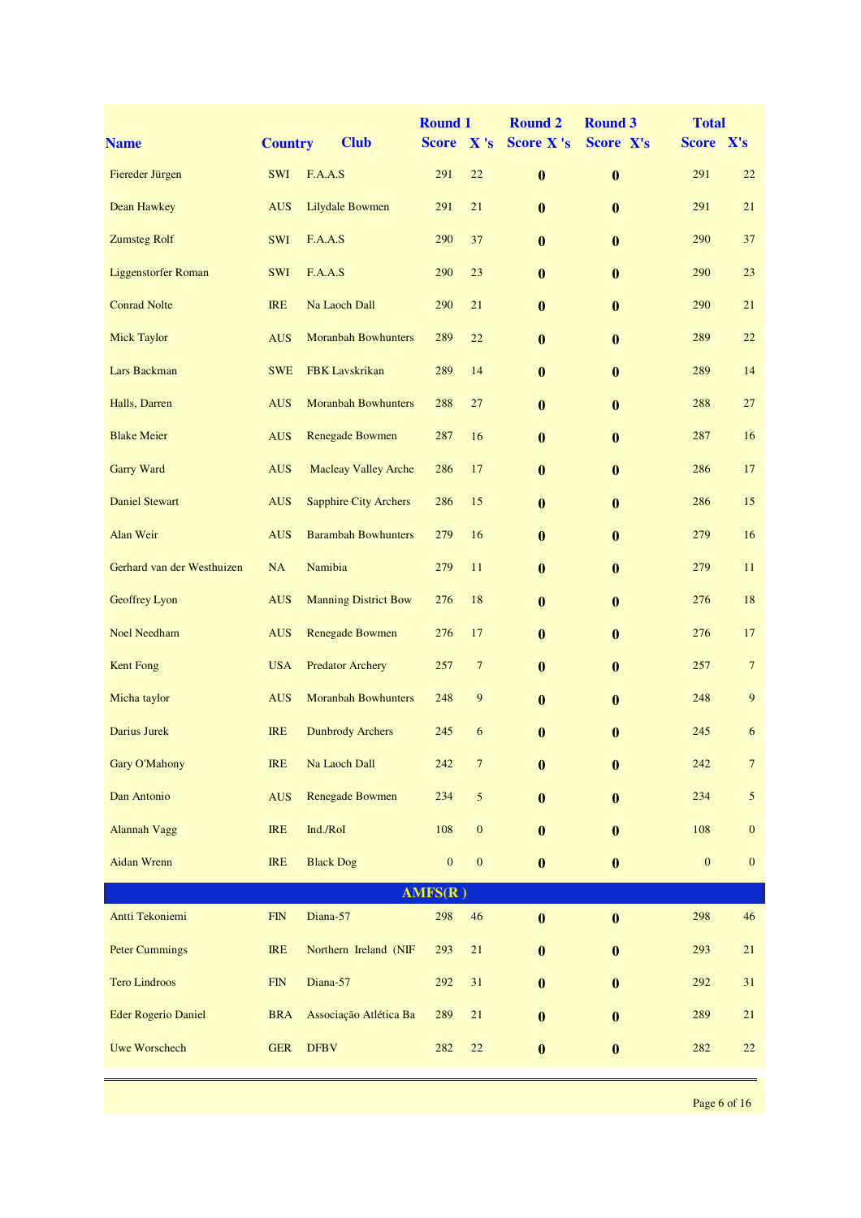| <b>Name</b>                | <b>Country</b> | <b>Club</b>                  | <b>Round 1</b><br><b>Score</b> | X's              | <b>Round 2</b><br><b>Score X's</b> | <b>Round 3</b><br>Score X's | <b>Total</b><br>Score X's |                  |
|----------------------------|----------------|------------------------------|--------------------------------|------------------|------------------------------------|-----------------------------|---------------------------|------------------|
| Fiereder Jürgen            | <b>SWI</b>     | F.A.A.S                      | 291                            | 22               | $\bf{0}$                           | $\bf{0}$                    | 291                       | 22               |
| Dean Hawkey                | <b>AUS</b>     | <b>Lilydale Bowmen</b>       | 291                            | 21               | $\bf{0}$                           | $\bf{0}$                    | 291                       | 21               |
| <b>Zumsteg Rolf</b>        | <b>SWI</b>     | F.A.A.S                      | 290                            | 37               | $\mathbf{0}$                       | $\bf{0}$                    | 290                       | 37               |
| <b>Liggenstorfer Roman</b> | <b>SWI</b>     | F.A.A.S                      | 290                            | 23               | $\bf{0}$                           | $\boldsymbol{0}$            | 290                       | 23               |
| <b>Conrad Nolte</b>        | <b>IRE</b>     | Na Laoch Dall                | 290                            | 21               | $\bf{0}$                           | $\boldsymbol{0}$            | 290                       | 21               |
| <b>Mick Taylor</b>         | <b>AUS</b>     | <b>Moranbah Bowhunters</b>   | 289                            | 22               | $\bf{0}$                           | $\boldsymbol{0}$            | 289                       | 22               |
| Lars Backman               | <b>SWE</b>     | <b>FBK</b> Lavskrikan        | 289                            | 14               | $\bf{0}$                           | $\bf{0}$                    | 289                       | 14               |
| Halls, Darren              | <b>AUS</b>     | <b>Moranbah Bowhunters</b>   | 288                            | 27               | $\bf{0}$                           | $\bf{0}$                    | 288                       | 27               |
| <b>Blake Meier</b>         | <b>AUS</b>     | Renegade Bowmen              | 287                            | 16               | $\bf{0}$                           | $\bf{0}$                    | 287                       | 16               |
| <b>Garry Ward</b>          | <b>AUS</b>     | <b>Macleay Valley Arche</b>  | 286                            | 17               | $\bf{0}$                           | $\bf{0}$                    | 286                       | 17               |
| <b>Daniel Stewart</b>      | <b>AUS</b>     | <b>Sapphire City Archers</b> | 286                            | 15               | $\bf{0}$                           | $\bf{0}$                    | 286                       | 15               |
| Alan Weir                  | <b>AUS</b>     | <b>Barambah Bowhunters</b>   | 279                            | 16               | $\mathbf{0}$                       | $\bf{0}$                    | 279                       | 16               |
| Gerhard van der Westhuizen | NA             | Namibia                      | 279                            | 11               | $\bf{0}$                           | $\boldsymbol{0}$            | 279                       | 11               |
| Geoffrey Lyon              | <b>AUS</b>     | <b>Manning District Bow</b>  | 276                            | 18               | $\bf{0}$                           | $\boldsymbol{0}$            | 276                       | 18               |
| <b>Noel Needham</b>        | <b>AUS</b>     | <b>Renegade Bowmen</b>       | 276                            | 17               | $\bf{0}$                           | $\boldsymbol{0}$            | 276                       | 17               |
| <b>Kent Fong</b>           | <b>USA</b>     | <b>Predator Archery</b>      | 257                            | $\overline{7}$   | $\bf{0}$                           | $\bf{0}$                    | 257                       | $\overline{7}$   |
| Micha taylor               | <b>AUS</b>     | <b>Moranbah Bowhunters</b>   | 248                            | 9                | $\bf{0}$                           | $\bf{0}$                    | 248                       | 9                |
| Darius Jurek               | <b>IRE</b>     | <b>Dunbrody Archers</b>      | 245                            | 6                | $\bf{0}$                           | $\boldsymbol{0}$            | 245                       | 6                |
| Gary O'Mahony              | <b>IRE</b>     | Na Laoch Dall                | 242                            | $\boldsymbol{7}$ | $\bf{0}$                           | $\boldsymbol{0}$            | $242\,$                   | $\overline{7}$   |
| Dan Antonio                | <b>AUS</b>     | <b>Renegade Bowmen</b>       | 234                            | 5                | $\bf{0}$                           | $\bf{0}$                    | 234                       | $\mathfrak{S}$   |
| <b>Alannah Vagg</b>        | IRE            | Ind./RoI                     | 108                            | $\boldsymbol{0}$ | $\bf{0}$                           | $\bf{0}$                    | 108                       | $\boldsymbol{0}$ |
| <b>Aidan Wrenn</b>         | <b>IRE</b>     | <b>Black Dog</b>             | $\boldsymbol{0}$               | $\boldsymbol{0}$ | $\bf{0}$                           | $\boldsymbol{0}$            | $\boldsymbol{0}$          | $\mathbf{0}$     |
|                            |                |                              | AMFS(R)                        |                  |                                    |                             |                           |                  |
| Antti Tekoniemi            | ${\rm FIN}$    | Diana-57                     | 298                            | 46               | $\bf{0}$                           | $\bf{0}$                    | 298                       | 46               |
| <b>Peter Cummings</b>      | IRE            | Northern Ireland (NIF        | 293                            | 21               | $\bf{0}$                           | $\bf{0}$                    | 293                       | 21               |
| <b>Tero Lindroos</b>       | ${\rm FIN}$    | Diana-57                     | 292                            | 31               | $\bf{0}$                           | $\bf{0}$                    | 292                       | 31               |
| <b>Eder Rogerio Daniel</b> | <b>BRA</b>     | Associação Atlética Ba       | 289                            | $21\,$           | $\bf{0}$                           | $\bf{0}$                    | 289                       | 21               |
| <b>Uwe Worschech</b>       | <b>GER</b>     | <b>DFBV</b>                  | 282                            | 22               | $\boldsymbol{0}$                   | $\bf{0}$                    | 282                       | 22               |
|                            |                |                              |                                |                  |                                    |                             |                           |                  |

Page 6 of 16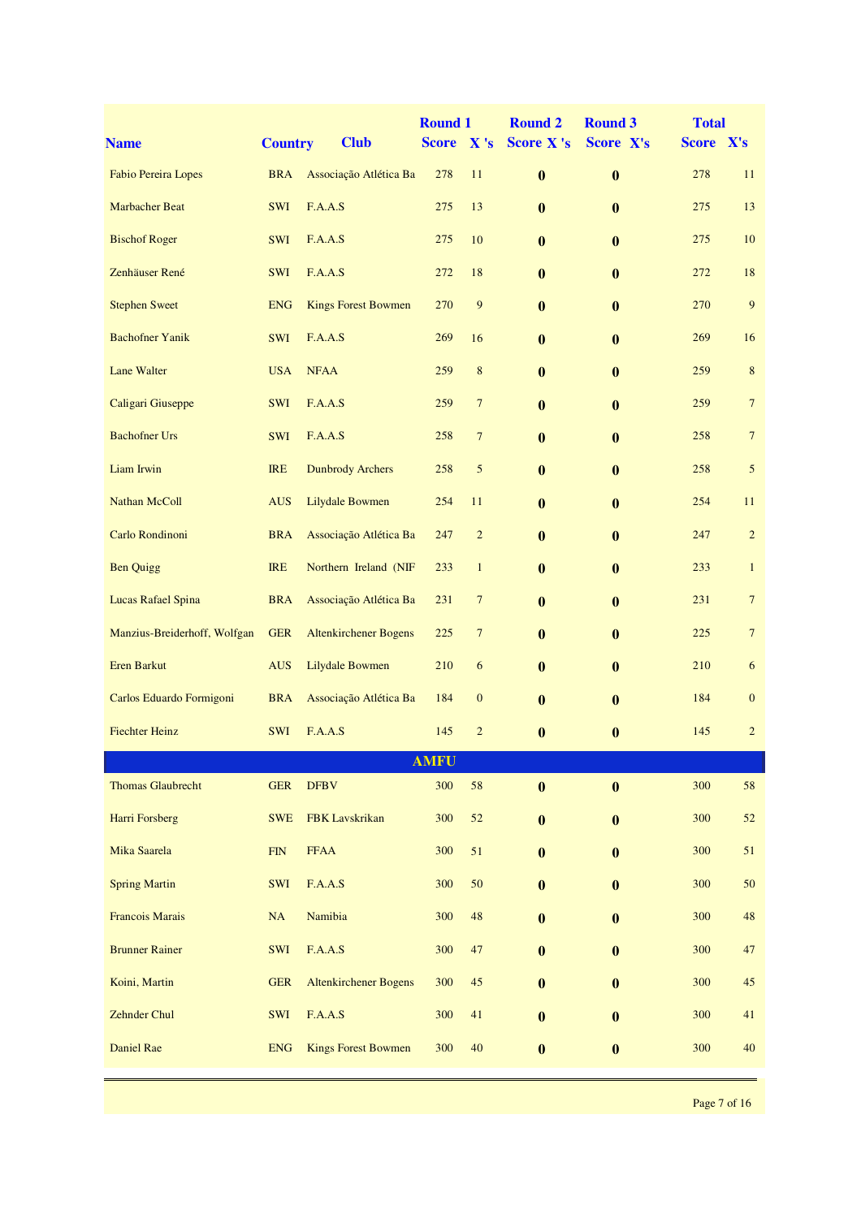|                              |                |                              | <b>Round 1</b> |                  | <b>Round 2</b>   | <b>Round 3</b>   | <b>Total</b> |                  |
|------------------------------|----------------|------------------------------|----------------|------------------|------------------|------------------|--------------|------------------|
| <b>Name</b>                  | <b>Country</b> | <b>Club</b>                  | <b>Score</b>   | X's              | Score X's        | Score X's        | Score X's    |                  |
| Fabio Pereira Lopes          | <b>BRA</b>     | Associação Atlética Ba       | 278            | 11               | $\bf{0}$         | $\bf{0}$         | 278          | 11               |
| <b>Marbacher Beat</b>        | <b>SWI</b>     | F.A.A.S                      | 275            | 13               | $\bf{0}$         | $\bf{0}$         | 275          | 13               |
| <b>Bischof Roger</b>         | <b>SWI</b>     | F.A.A.S                      | 275            | 10               | $\mathbf{0}$     | $\mathbf{0}$     | 275          | 10               |
| Zenhäuser René               | <b>SWI</b>     | F.A.A.S                      | 272            | 18               | $\bf{0}$         | $\bf{0}$         | 272          | 18               |
| <b>Stephen Sweet</b>         | <b>ENG</b>     | <b>Kings Forest Bowmen</b>   | 270            | $\overline{9}$   | $\bf{0}$         | $\bf{0}$         | 270          | $\boldsymbol{9}$ |
| <b>Bachofner Yanik</b>       | <b>SWI</b>     | F.A.A.S                      | 269            | 16               | $\bf{0}$         | $\boldsymbol{0}$ | 269          | 16               |
| <b>Lane Walter</b>           | <b>USA</b>     | <b>NFAA</b>                  | 259            | 8                | $\bf{0}$         | $\bf{0}$         | 259          | $\,8\,$          |
| Caligari Giuseppe            | <b>SWI</b>     | F.A.A.S                      | 259            | $\overline{7}$   | $\bf{0}$         | $\bf{0}$         | 259          | $\boldsymbol{7}$ |
| <b>Bachofner Urs</b>         | <b>SWI</b>     | F.A.A.S                      | 258            | $\overline{7}$   | $\bf{0}$         | $\bf{0}$         | 258          | $\boldsymbol{7}$ |
| Liam Irwin                   | <b>IRE</b>     | <b>Dunbrody Archers</b>      | 258            | 5                | $\bf{0}$         | $\boldsymbol{0}$ | 258          | 5                |
| <b>Nathan McColl</b>         | <b>AUS</b>     | <b>Lilydale Bowmen</b>       | 254            | 11               | $\bf{0}$         | $\bf{0}$         | 254          | 11               |
| Carlo Rondinoni              | <b>BRA</b>     | Associação Atlética Ba       | 247            | $\overline{c}$   | $\mathbf{0}$     | $\bf{0}$         | 247          | $\overline{c}$   |
| <b>Ben Quigg</b>             | <b>IRE</b>     | Northern Ireland (NIF        | 233            | $\mathbf{1}$     | $\mathbf{0}$     | $\bf{0}$         | 233          | $\mathbf{1}$     |
| <b>Lucas Rafael Spina</b>    | <b>BRA</b>     | Associação Atlética Ba       | 231            | $\overline{7}$   | $\bf{0}$         | $\bf{0}$         | 231          | $\boldsymbol{7}$ |
| Manzius-Breiderhoff, Wolfgan | <b>GER</b>     | <b>Altenkirchener Bogens</b> | 225            | $\overline{7}$   | $\bf{0}$         | $\bf{0}$         | 225          | $\boldsymbol{7}$ |
| <b>Eren Barkut</b>           | <b>AUS</b>     | <b>Lilydale Bowmen</b>       | 210            | 6                | $\bf{0}$         | $\bf{0}$         | 210          | 6                |
| Carlos Eduardo Formigoni     | <b>BRA</b>     | Associação Atlética Ba       | 184            | $\boldsymbol{0}$ | $\bf{0}$         | $\bf{0}$         | 184          | $\boldsymbol{0}$ |
| <b>Fiechter Heinz</b>        | <b>SWI</b>     | F.A.A.S                      | 145            | $\overline{c}$   | $\bf{0}$         | $\bf{0}$         | 145          | $\overline{c}$   |
|                              |                |                              | <u>AMFU</u>    |                  |                  |                  |              |                  |
| <b>Thomas Glaubrecht</b>     | <b>GER</b>     | <b>DFBV</b>                  | 300            | 58               | $\bf{0}$         | $\bf{0}$         | 300          | 58               |
| Harri Forsberg               | <b>SWE</b>     | FBK Lavskrikan               | 300            | 52               | $\bf{0}$         | $\bf{0}$         | 300          | 52               |
| Mika Saarela                 | ${\rm FIN}$    | <b>FFAA</b>                  | 300            | 51               | $\bf{0}$         | $\bf{0}$         | 300          | 51               |
| <b>Spring Martin</b>         | <b>SWI</b>     | F.A.A.S                      | 300            | 50               | $\bf{0}$         | $\bf{0}$         | 300          | 50               |
| Francois Marais              | NA             | Namibia                      | 300            | 48               | $\bf{0}$         | $\bf{0}$         | 300          | $\sqrt{48}$      |
| <b>Brunner Rainer</b>        | SWI            | F.A.A.S                      | 300            | 47               | $\bf{0}$         | $\bf{0}$         | 300          | 47               |
| Koini, Martin                | <b>GER</b>     | <b>Altenkirchener Bogens</b> | 300            | $45\,$           | $\bf{0}$         | $\bf{0}$         | 300          | 45               |
| <b>Zehnder Chul</b>          | SWI            | F.A.A.S                      | 300            | 41               | $\bf{0}$         | $\bf{0}$         | 300          | 41               |
| <b>Daniel Rae</b>            | <b>ENG</b>     | <b>Kings Forest Bowmen</b>   | 300            | 40               | $\boldsymbol{0}$ | $\boldsymbol{0}$ | 300          | 40               |
|                              |                |                              |                |                  |                  |                  |              |                  |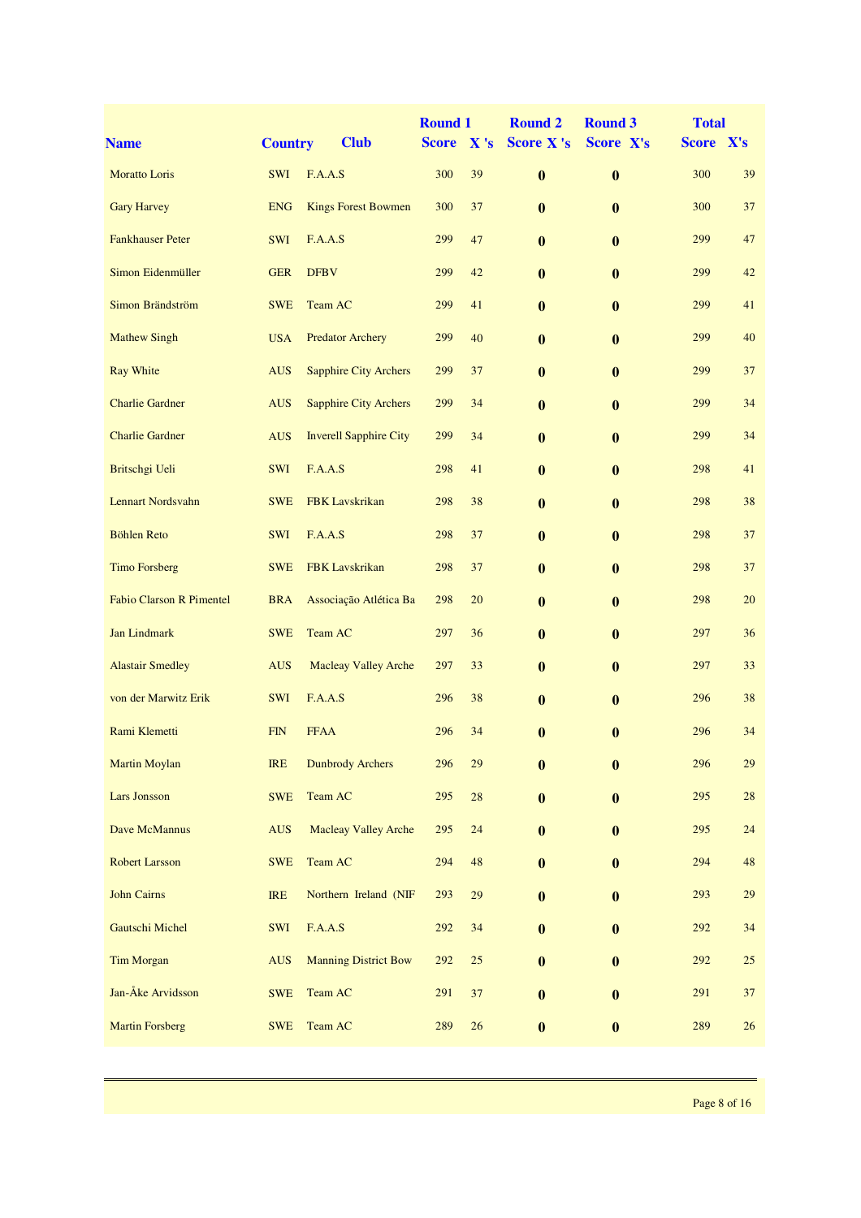| <b>Name</b>                     | <b>Country</b> | <b>Club</b>                   | <b>Round 1</b><br><b>Score</b> | X's    | <b>Round 2</b><br><b>Score X's</b> | <b>Round 3</b><br>Score X's | <b>Total</b><br>Score X's |        |
|---------------------------------|----------------|-------------------------------|--------------------------------|--------|------------------------------------|-----------------------------|---------------------------|--------|
| <b>Moratto Loris</b>            | <b>SWI</b>     | F.A.A.S                       | 300                            | 39     |                                    |                             | 300                       | 39     |
|                                 |                |                               |                                |        | $\bf{0}$                           | $\bf{0}$                    |                           |        |
| <b>Gary Harvey</b>              | <b>ENG</b>     | <b>Kings Forest Bowmen</b>    | 300                            | 37     | $\bf{0}$                           | $\bf{0}$                    | 300                       | 37     |
| <b>Fankhauser Peter</b>         | <b>SWI</b>     | F.A.A.S                       | 299                            | 47     | $\bf{0}$                           | $\bf{0}$                    | 299                       | 47     |
| Simon Eidenmüller               | <b>GER</b>     | <b>DFBV</b>                   | 299                            | 42     | $\bf{0}$                           | $\bf{0}$                    | 299                       | 42     |
| Simon Brändström                | <b>SWE</b>     | Team AC                       | 299                            | 41     | $\bf{0}$                           | $\bf{0}$                    | 299                       | 41     |
| <b>Mathew Singh</b>             | <b>USA</b>     | <b>Predator Archery</b>       | 299                            | 40     | $\bf{0}$                           | $\bf{0}$                    | 299                       | 40     |
| <b>Ray White</b>                | <b>AUS</b>     | <b>Sapphire City Archers</b>  | 299                            | 37     | $\bf{0}$                           | $\bf{0}$                    | 299                       | 37     |
| <b>Charlie Gardner</b>          | <b>AUS</b>     | <b>Sapphire City Archers</b>  | 299                            | 34     | $\bf{0}$                           | $\bf{0}$                    | 299                       | 34     |
| <b>Charlie Gardner</b>          | <b>AUS</b>     | <b>Inverell Sapphire City</b> | 299                            | 34     | $\bf{0}$                           | $\bf{0}$                    | 299                       | 34     |
| Britschgi Ueli                  | SWI            | F.A.A.S                       | 298                            | 41     | $\bf{0}$                           | $\bf{0}$                    | 298                       | 41     |
| <b>Lennart Nordsvahn</b>        | <b>SWE</b>     | <b>FBK</b> Lavskrikan         | 298                            | 38     | $\bf{0}$                           | $\bf{0}$                    | 298                       | 38     |
| <b>Böhlen Reto</b>              | <b>SWI</b>     | F.A.A.S                       | 298                            | 37     | $\bf{0}$                           | $\bf{0}$                    | 298                       | 37     |
| <b>Timo Forsberg</b>            | <b>SWE</b>     | <b>FBK</b> Lavskrikan         | 298                            | 37     | $\bf{0}$                           | $\bf{0}$                    | 298                       | 37     |
| <b>Fabio Clarson R Pimentel</b> | <b>BRA</b>     | Associação Atlética Ba        | 298                            | 20     | $\bf{0}$                           | $\bf{0}$                    | 298                       | 20     |
| <b>Jan Lindmark</b>             | <b>SWE</b>     | Team AC                       | 297                            | 36     | $\bf{0}$                           | $\bf{0}$                    | 297                       | 36     |
| <b>Alastair Smedley</b>         | <b>AUS</b>     | <b>Macleay Valley Arche</b>   | 297                            | 33     | $\bf{0}$                           | $\bf{0}$                    | 297                       | 33     |
| von der Marwitz Erik            | <b>SWI</b>     | F.A.A.S                       | 296                            | 38     | $\bf{0}$                           | $\bf{0}$                    | 296                       | 38     |
| Rami Klemetti                   | <b>FIN</b>     | <b>FFAA</b>                   | 296                            | 34     | $\bf{0}$                           | $\bf{0}$                    | 296                       | 34     |
| <b>Martin Moylan</b>            | IRE            | <b>Dunbrody Archers</b>       | 296                            | 29     | $\boldsymbol{0}$                   | $\boldsymbol{0}$            | 296                       | 29     |
| <b>Lars Jonsson</b>             | <b>SWE</b>     | Team AC                       | 295                            | 28     | $\bf{0}$                           | $\boldsymbol{0}$            | 295                       | $28\,$ |
| Dave McMannus                   | <b>AUS</b>     | <b>Macleay Valley Arche</b>   | 295                            | 24     | $\bf{0}$                           | $\bf{0}$                    | 295                       | 24     |
| <b>Robert Larsson</b>           | <b>SWE</b>     | Team AC                       | 294                            | 48     | $\bf{0}$                           | $\bf{0}$                    | 294                       | 48     |
| <b>John Cairns</b>              | <b>IRE</b>     | Northern Ireland (NIF         | 293                            | 29     | $\bf{0}$                           | $\boldsymbol{0}$            | 293                       | 29     |
| <b>Gautschi Michel</b>          | SWI            | F.A.A.S                       | 292                            | 34     | $\bf{0}$                           | $\boldsymbol{0}$            | 292                       | 34     |
| <b>Tim Morgan</b>               | <b>AUS</b>     | <b>Manning District Bow</b>   | 292                            | 25     | $\bf{0}$                           | $\bf{0}$                    | 292                       | 25     |
| Jan-Åke Arvidsson               | <b>SWE</b>     | Team AC                       | 291                            | $37\,$ | $\bf{0}$                           | $\bf{0}$                    | 291                       | 37     |
| <b>Martin Forsberg</b>          | <b>SWE</b>     | Team AC                       | 289                            | $26\,$ | $\boldsymbol{0}$                   | $\boldsymbol{0}$            | 289                       | 26     |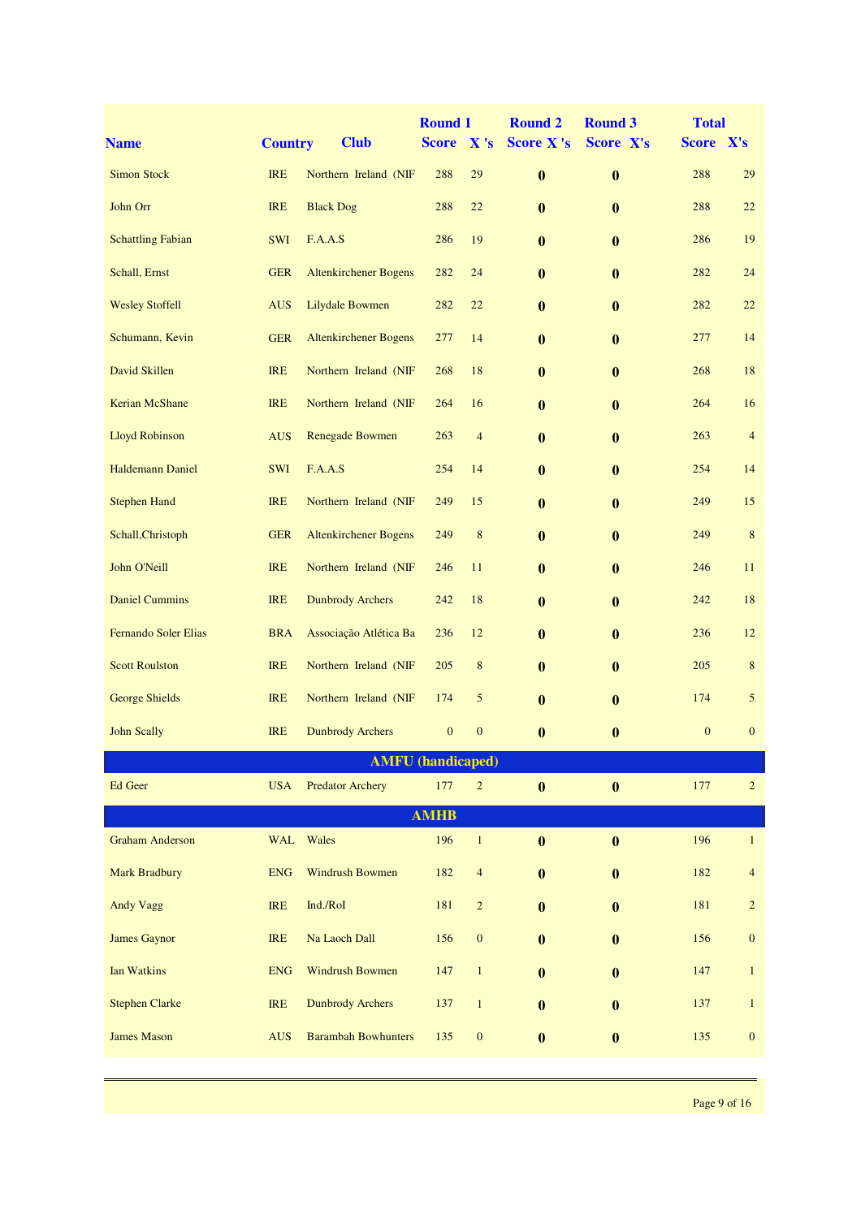| <b>Name</b>              | <b>Country</b> | <b>Club</b>                  | <b>Round 1</b><br><b>Score</b> | X's              | <b>Round 2</b><br><b>Score X's</b> | <b>Round 3</b><br>Score X's | <b>Total</b><br>Score X's |                  |
|--------------------------|----------------|------------------------------|--------------------------------|------------------|------------------------------------|-----------------------------|---------------------------|------------------|
| <b>Simon Stock</b>       | <b>IRE</b>     | Northern Ireland (NIF        | 288                            | 29               | $\bf{0}$                           | $\bf{0}$                    | 288                       | 29               |
| John Orr                 | <b>IRE</b>     | <b>Black Dog</b>             | 288                            | 22               | $\bf{0}$                           | $\bf{0}$                    | 288                       | 22               |
| <b>Schattling Fabian</b> | <b>SWI</b>     | F.A.A.S                      | 286                            | 19               |                                    |                             | 286                       | 19               |
|                          |                |                              |                                |                  | $\bf{0}$                           | $\bf{0}$                    |                           |                  |
| Schall, Ernst            | <b>GER</b>     | <b>Altenkirchener Bogens</b> | 282                            | 24               | $\bf{0}$                           | $\bf{0}$                    | 282                       | 24               |
| <b>Wesley Stoffell</b>   | <b>AUS</b>     | Lilydale Bowmen              | 282                            | 22               | $\bf{0}$                           | $\bf{0}$                    | 282                       | 22               |
| Schumann, Kevin          | <b>GER</b>     | <b>Altenkirchener Bogens</b> | 277                            | 14               | $\bf{0}$                           | $\bf{0}$                    | 277                       | 14               |
| David Skillen            | <b>IRE</b>     | Northern Ireland (NIF        | 268                            | 18               | $\bf{0}$                           | $\bf{0}$                    | 268                       | 18               |
| Kerian McShane           | <b>IRE</b>     | Northern Ireland (NIF        | 264                            | 16               | $\mathbf{0}$                       | $\bf{0}$                    | 264                       | 16               |
| <b>Lloyd Robinson</b>    | <b>AUS</b>     | Renegade Bowmen              | 263                            | $\overline{4}$   | $\bf{0}$                           | $\bf{0}$                    | 263                       | $\overline{4}$   |
| <b>Haldemann Daniel</b>  | SWI            | F.A.A.S                      | 254                            | 14               | $\bf{0}$                           | $\bf{0}$                    | 254                       | 14               |
| <b>Stephen Hand</b>      | <b>IRE</b>     | Northern Ireland (NIF        | 249                            | 15               | $\bf{0}$                           | $\bf{0}$                    | 249                       | 15               |
| Schall, Christoph        | <b>GER</b>     | <b>Altenkirchener Bogens</b> | 249                            | $\,$ 8 $\,$      | $\mathbf{0}$                       | $\bf{0}$                    | 249                       | $\,8\,$          |
| John O'Neill             | <b>IRE</b>     | Northern Ireland (NIF        | 246                            | 11               | $\bf{0}$                           | $\bf{0}$                    | 246                       | 11               |
| <b>Daniel Cummins</b>    | <b>IRE</b>     | <b>Dunbrody Archers</b>      | 242                            | 18               | $\bf{0}$                           | $\bf{0}$                    | 242                       | 18               |
| Fernando Soler Elias     | <b>BRA</b>     | Associação Atlética Ba       | 236                            | 12               | $\bf{0}$                           | $\bf{0}$                    | 236                       | 12               |
| <b>Scott Roulston</b>    | <b>IRE</b>     | Northern Ireland (NIF        | 205                            | $\,$ 8 $\,$      | $\bf{0}$                           | $\bf{0}$                    | 205                       | 8                |
| <b>George Shields</b>    | <b>IRE</b>     | Northern Ireland (NIF        | 174                            | 5                | $\bf{0}$                           | $\bf{0}$                    | 174                       | 5                |
| <b>John Scally</b>       | <b>IRE</b>     | <b>Dunbrody Archers</b>      | $\boldsymbol{0}$               | $\mathbf{0}$     | $\bf{0}$                           | $\bf{0}$                    | $\boldsymbol{0}$          | $\mathbf{0}$     |
|                          |                |                              | <b>AMFU</b> (handicaped)       |                  |                                    |                             |                           |                  |
| Ed Geer                  | <b>USA</b>     | <b>Predator Archery</b>      | 177                            | $\overline{c}$   | $\bf{0}$                           | $\bf{0}$                    | 177                       | $\overline{2}$   |
|                          |                |                              | <b>AMHB</b>                    |                  |                                    |                             |                           |                  |
| <b>Graham Anderson</b>   | <b>WAL</b>     | Wales                        | 196                            | $\mathbf{1}$     | $\bf{0}$                           | $\bf{0}$                    | 196                       | $\mathbf{1}$     |
| <b>Mark Bradbury</b>     | <b>ENG</b>     | Windrush Bowmen              | 182                            | $\overline{4}$   | $\boldsymbol{0}$                   | $\bf{0}$                    | 182                       | $\overline{4}$   |
| Andy Vagg                | <b>IRE</b>     | Ind./RoI                     | 181                            | $\sqrt{2}$       | $\bf{0}$                           | $\bf{0}$                    | 181                       | $\overline{c}$   |
| <b>James Gaynor</b>      | <b>IRE</b>     | Na Laoch Dall                | 156                            | $\boldsymbol{0}$ | $\bf{0}$                           | $\bf{0}$                    | 156                       | $\boldsymbol{0}$ |
| <b>Ian Watkins</b>       | <b>ENG</b>     | <b>Windrush Bowmen</b>       | 147                            | $\mathbf{1}$     | $\bf{0}$                           | $\bf{0}$                    | 147                       | $\mathbf{1}$     |
| <b>Stephen Clarke</b>    | <b>IRE</b>     | <b>Dunbrody Archers</b>      | 137                            | $\mathbf{1}$     | $\bf{0}$                           | $\bf{0}$                    | 137                       | $\mathbf{1}$     |
| <b>James Mason</b>       | <b>AUS</b>     | <b>Barambah Bowhunters</b>   | 135                            | $\boldsymbol{0}$ | $\boldsymbol{0}$                   | $\bf{0}$                    | 135                       | $\mathbf{0}$     |
|                          |                |                              |                                |                  |                                    |                             |                           |                  |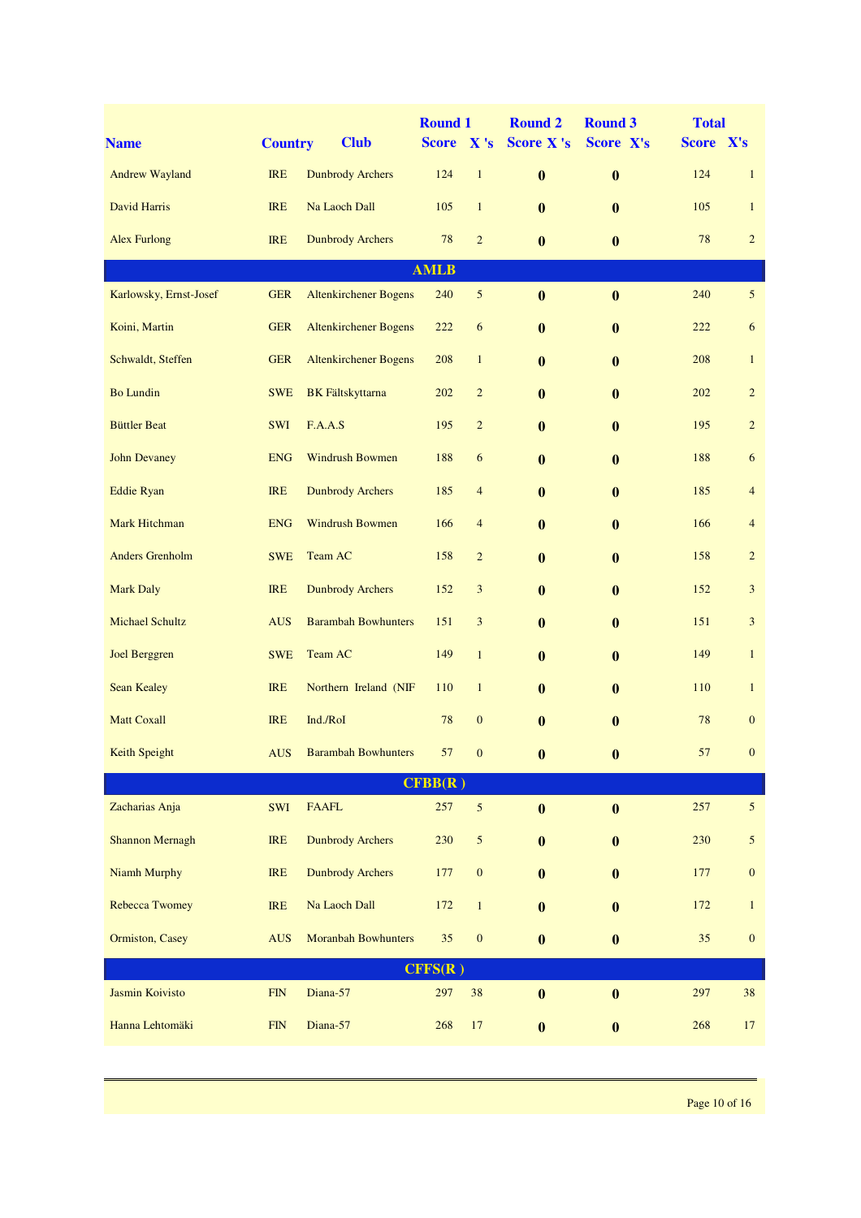| <b>Name</b>            | <b>Country</b> | <b>Club</b>                    | <b>Round 1</b><br>Score X's |                  | <b>Round 2</b><br><b>Score X's</b> | <b>Round 3</b><br>Score X's | <b>Total</b><br>Score X's |                  |
|------------------------|----------------|--------------------------------|-----------------------------|------------------|------------------------------------|-----------------------------|---------------------------|------------------|
| <b>Andrew Wayland</b>  | <b>IRE</b>     | <b>Dunbrody Archers</b>        | 124                         | $\mathbf{1}$     | $\bf{0}$                           | $\bf{0}$                    | 124                       | $\mathbf{1}$     |
|                        |                |                                |                             |                  |                                    |                             |                           |                  |
| David Harris           | <b>IRE</b>     | Na Laoch Dall                  | 105                         | $\mathbf{1}$     | $\bf{0}$                           | $\bf{0}$                    | 105                       | $\mathbf{1}$     |
| <b>Alex Furlong</b>    | <b>IRE</b>     | <b>Dunbrody Archers</b>        | 78                          | $\overline{2}$   | $\bf{0}$                           | $\bf{0}$                    | 78                        | $\overline{2}$   |
| Karlowsky, Ernst-Josef | <b>GER</b>     | <b>Altenkirchener Bogens</b>   | <b>AMLB</b><br>240          | $\mathfrak{S}$   | $\bf{0}$                           | $\bf{0}$                    | 240                       | $5\overline{)}$  |
| Koini, Martin          | <b>GER</b>     | <b>Altenkirchener Bogens</b>   | 222                         | 6                | $\bf{0}$                           | $\bf{0}$                    | 222                       | 6                |
| Schwaldt, Steffen      | <b>GER</b>     | <b>Altenkirchener Bogens</b>   | 208                         | $\mathbf{1}$     | $\mathbf{0}$                       |                             | 208                       | $\mathbf{1}$     |
|                        |                |                                |                             |                  |                                    | $\bf{0}$                    |                           |                  |
| <b>Bo Lundin</b>       | <b>SWE</b>     | <b>BK</b> Fältskyttarna        | 202                         | $\overline{c}$   | $\mathbf{0}$                       | $\bf{0}$                    | 202                       | $\overline{c}$   |
| <b>Büttler Beat</b>    | <b>SWI</b>     | F.A.A.S                        | 195                         | $\overline{c}$   | $\bf{0}$                           | $\bf{0}$                    | 195                       | $\overline{c}$   |
| <b>John Devaney</b>    | <b>ENG</b>     | <b>Windrush Bowmen</b>         | 188                         | 6                | $\bf{0}$                           | $\bf{0}$                    | 188                       | 6                |
| <b>Eddie Ryan</b>      | <b>IRE</b>     | <b>Dunbrody Archers</b>        | 185                         | $\overline{4}$   | $\bf{0}$                           | $\bf{0}$                    | 185                       | $\overline{4}$   |
| Mark Hitchman          | <b>ENG</b>     | <b>Windrush Bowmen</b>         | 166                         | $\overline{4}$   | $\bf{0}$                           | $\bf{0}$                    | 166                       | $\overline{4}$   |
| <b>Anders Grenholm</b> | <b>SWE</b>     | Team AC                        | 158                         | $\overline{c}$   | $\bf{0}$                           | $\bf{0}$                    | 158                       | $\overline{c}$   |
| <b>Mark Daly</b>       | <b>IRE</b>     | <b>Dunbrody Archers</b>        | 152                         | 3                | $\bf{0}$                           | $\bf{0}$                    | 152                       | 3                |
| <b>Michael Schultz</b> | <b>AUS</b>     | <b>Barambah Bowhunters</b>     | 151                         | $\mathfrak{Z}$   | $\mathbf{0}$                       | $\bf{0}$                    | 151                       | 3                |
| <b>Joel Berggren</b>   | <b>SWE</b>     | Team AC                        | 149                         | $\mathbf{1}$     | $\mathbf{0}$                       | $\bf{0}$                    | 149                       | $\mathbf{1}$     |
| <b>Sean Kealey</b>     | <b>IRE</b>     | Northern Ireland (NIF          | 110                         | $\mathbf{1}$     | $\mathbf{0}$                       | $\bf{0}$                    | 110                       | $\mathbf{1}$     |
| <b>Matt Coxall</b>     | <b>IRE</b>     | Ind./RoI                       | 78                          | $\mathbf{0}$     | $\mathbf{0}$                       | $\bf{0}$                    | 78                        | $\mathbf{0}$     |
| Keith Speight          |                | <b>AUS</b> Barambah Bowhunters |                             | 570              | $\bf{0}$                           | $\bf{0}$                    | 57                        | $\mathbf{0}$     |
|                        |                |                                | CFBB(R)                     |                  |                                    |                             |                           |                  |
| Zacharias Anja         | SWI            | <b>FAAFL</b>                   | 257                         | $\sqrt{5}$       | $\bf{0}$                           | $\bf{0}$                    | 257                       | $\mathfrak{S}$   |
| <b>Shannon Mernagh</b> | <b>IRE</b>     | <b>Dunbrody Archers</b>        | 230                         | 5                | $\bf{0}$                           | $\bf{0}$                    | 230                       | $\sqrt{5}$       |
| Niamh Murphy           | <b>IRE</b>     | <b>Dunbrody Archers</b>        | 177                         | $\boldsymbol{0}$ | $\bf{0}$                           | $\bf{0}$                    | 177                       | $\boldsymbol{0}$ |
| <b>Rebecca Twomey</b>  | <b>IRE</b>     | Na Laoch Dall                  | 172                         | $\mathbf{1}$     | $\bf{0}$                           | $\bf{0}$                    | 172                       | $\mathbf{1}$     |
| Ormiston, Casey        | <b>AUS</b>     | <b>Moranbah Bowhunters</b>     | 35                          | $\boldsymbol{0}$ | $\bf{0}$                           | $\bf{0}$                    | $35\,$                    | $\boldsymbol{0}$ |
|                        |                |                                | CFFS(R)                     |                  |                                    |                             |                           |                  |
| <b>Jasmin Koivisto</b> | FIN            | Diana-57                       | 297                         | 38               | $\bf{0}$                           | $\boldsymbol{0}$            | 297                       | 38               |
| Hanna Lehtomäki        | FIN            | Diana-57                       | 268                         | $17\,$           | $\bf{0}$                           | $\boldsymbol{0}$            | 268                       | 17               |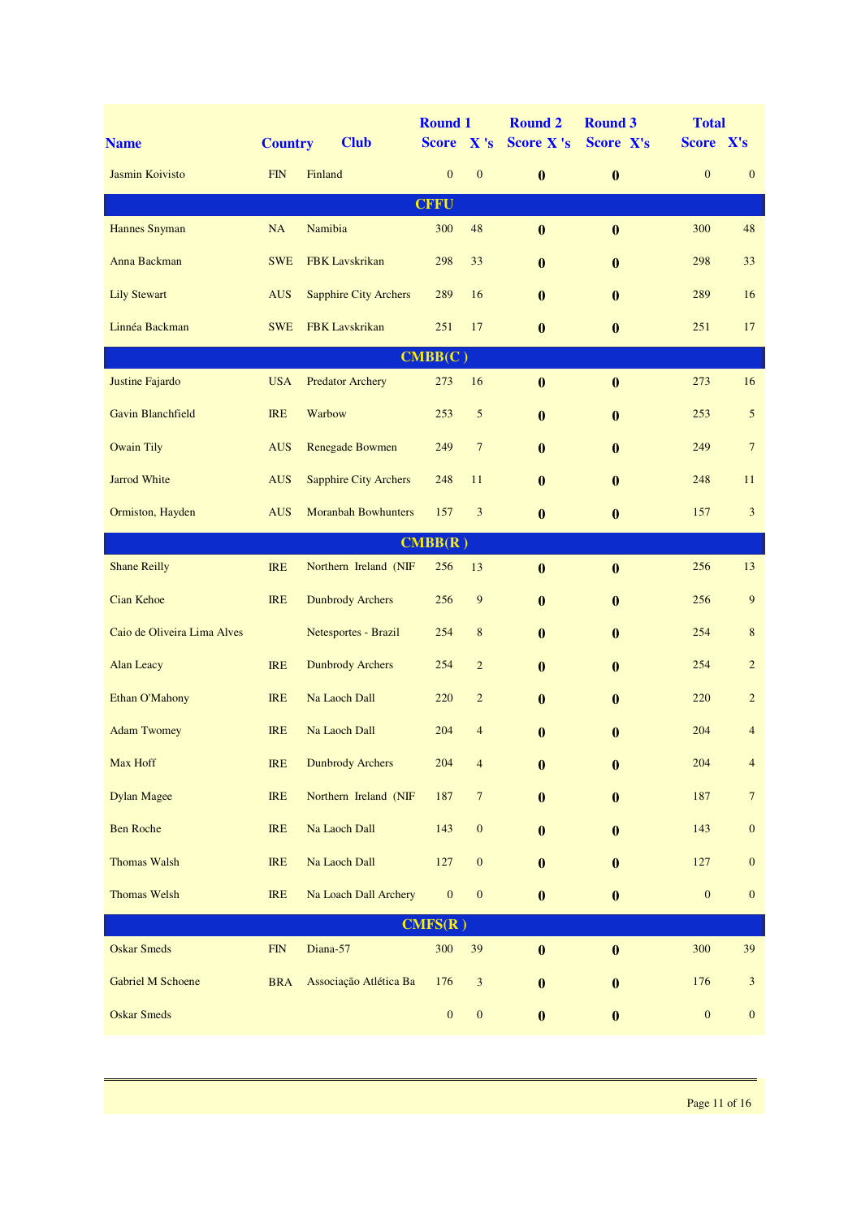| <b>Name</b>                 | <b>Country</b> | <b>Club</b>                  | <b>Round 1</b><br><b>Score</b> | $\mathbf{X}$ 's  | <b>Round 2</b><br><b>Score X's</b> | <b>Round 3</b><br>Score X's | <b>Total</b><br>Score X's |                  |
|-----------------------------|----------------|------------------------------|--------------------------------|------------------|------------------------------------|-----------------------------|---------------------------|------------------|
| Jasmin Koivisto             | <b>FIN</b>     | Finland                      | $\boldsymbol{0}$               | $\mathbf{0}$     | $\bf{0}$                           | $\boldsymbol{0}$            | $\mathbf{0}$              | $\mathbf{0}$     |
|                             |                |                              | <b>CFFU</b>                    |                  |                                    |                             |                           |                  |
| <b>Hannes Snyman</b>        | NA             | Namibia                      | 300                            | 48               | $\boldsymbol{0}$                   | $\bf{0}$                    | 300                       | 48               |
| Anna Backman                | <b>SWE</b>     | FBK Lavskrikan               | 298                            | 33               | $\bf{0}$                           | $\bf{0}$                    | 298                       | 33               |
| <b>Lily Stewart</b>         | <b>AUS</b>     | <b>Sapphire City Archers</b> | 289                            | 16               | $\bf{0}$                           | $\bf{0}$                    | 289                       | 16               |
| Linnéa Backman              | <b>SWE</b>     | <b>FBK</b> Lavskrikan        | 251                            | 17               | $\mathbf{0}$                       | $\bf{0}$                    | 251                       | 17               |
|                             |                |                              | CMBB(C)                        |                  |                                    |                             |                           |                  |
| Justine Fajardo             | <b>USA</b>     | <b>Predator Archery</b>      | 273                            | 16               | $\bf{0}$                           | $\bf{0}$                    | 273                       | 16               |
| <b>Gavin Blanchfield</b>    | <b>IRE</b>     | Warbow                       | 253                            | 5                | $\bf{0}$                           | $\bf{0}$                    | 253                       | 5                |
| <b>Owain Tily</b>           | <b>AUS</b>     | <b>Renegade Bowmen</b>       | 249                            | $7\phantom{.0}$  | $\mathbf{0}$                       | $\bf{0}$                    | 249                       | $\overline{7}$   |
| <b>Jarrod White</b>         | <b>AUS</b>     | <b>Sapphire City Archers</b> | 248                            | 11               | $\mathbf{0}$                       | $\mathbf{0}$                | 248                       | 11               |
| Ormiston, Hayden            | <b>AUS</b>     | <b>Moranbah Bowhunters</b>   | 157                            | 3                | $\bf{0}$                           | $\bf{0}$                    | 157                       | 3                |
|                             |                |                              | CMBB(R)                        |                  |                                    |                             |                           |                  |
| <b>Shane Reilly</b>         | <b>IRE</b>     | Northern Ireland (NIF        | 256                            | 13               | $\bf{0}$                           | $\bf{0}$                    | 256                       | 13               |
| Cian Kehoe                  | <b>IRE</b>     | <b>Dunbrody Archers</b>      | 256                            | 9                | $\mathbf{0}$                       | $\bf{0}$                    | 256                       | 9                |
| Caio de Oliveira Lima Alves |                | Netesportes - Brazil         | 254                            | $\,$ 8 $\,$      | $\bf{0}$                           | $\bf{0}$                    | 254                       | $\,8\,$          |
| <b>Alan Leacy</b>           | <b>IRE</b>     | <b>Dunbrody Archers</b>      | 254                            | $\overline{2}$   | $\bf{0}$                           | $\bf{0}$                    | 254                       | $\overline{c}$   |
| Ethan O'Mahony              | <b>IRE</b>     | Na Laoch Dall                | 220                            | $\overline{c}$   | $\bf{0}$                           | $\bf{0}$                    | 220                       | $\overline{c}$   |
| <b>Adam Twomey</b>          | <b>IRE</b>     | Na Laoch Dall                | 204                            | 4                | $\bf{0}$                           | $\bf{0}$                    | 204                       | $\overline{4}$   |
| Max Hoff                    | <b>IRE</b>     | <b>Dunbrody Archers</b>      | 204                            | $\overline{4}$   | $\boldsymbol{0}$                   | $\boldsymbol{0}$            | 204                       | $\overline{4}$   |
| <b>Dylan Magee</b>          | IRE            | Northern Ireland (NIF        | 187                            | $\boldsymbol{7}$ | $\bf{0}$                           | $\bf{0}$                    | 187                       | $\boldsymbol{7}$ |
| <b>Ben Roche</b>            | IRE            | Na Laoch Dall                | 143                            | $\boldsymbol{0}$ | $\bf{0}$                           | $\bf{0}$                    | 143                       | $\boldsymbol{0}$ |
| Thomas Walsh                | IRE            | Na Laoch Dall                | 127                            | $\boldsymbol{0}$ | $\bf{0}$                           | $\bf{0}$                    | 127                       | $\boldsymbol{0}$ |
| Thomas Welsh                | <b>IRE</b>     | Na Loach Dall Archery        | $\boldsymbol{0}$               | $\boldsymbol{0}$ | $\bf{0}$                           | $\bf{0}$                    | $\boldsymbol{0}$          | $\mathbf{0}$     |
|                             |                |                              | CMFS(R)                        |                  |                                    |                             |                           |                  |
| <b>Oskar Smeds</b>          | ${\rm FIN}$    | Diana-57                     | 300                            | 39               | $\boldsymbol{0}$                   | $\boldsymbol{0}$            | 300                       | 39               |
| <b>Gabriel M Schoene</b>    | <b>BRA</b>     | Associação Atlética Ba       | 176                            | $\mathfrak{Z}$   | $\bf{0}$                           | $\bf{0}$                    | 176                       | $\sqrt{3}$       |
| <b>Oskar Smeds</b>          |                |                              | $\boldsymbol{0}$               | $\boldsymbol{0}$ | $\boldsymbol{0}$                   | $\boldsymbol{0}$            | $\boldsymbol{0}$          | $\boldsymbol{0}$ |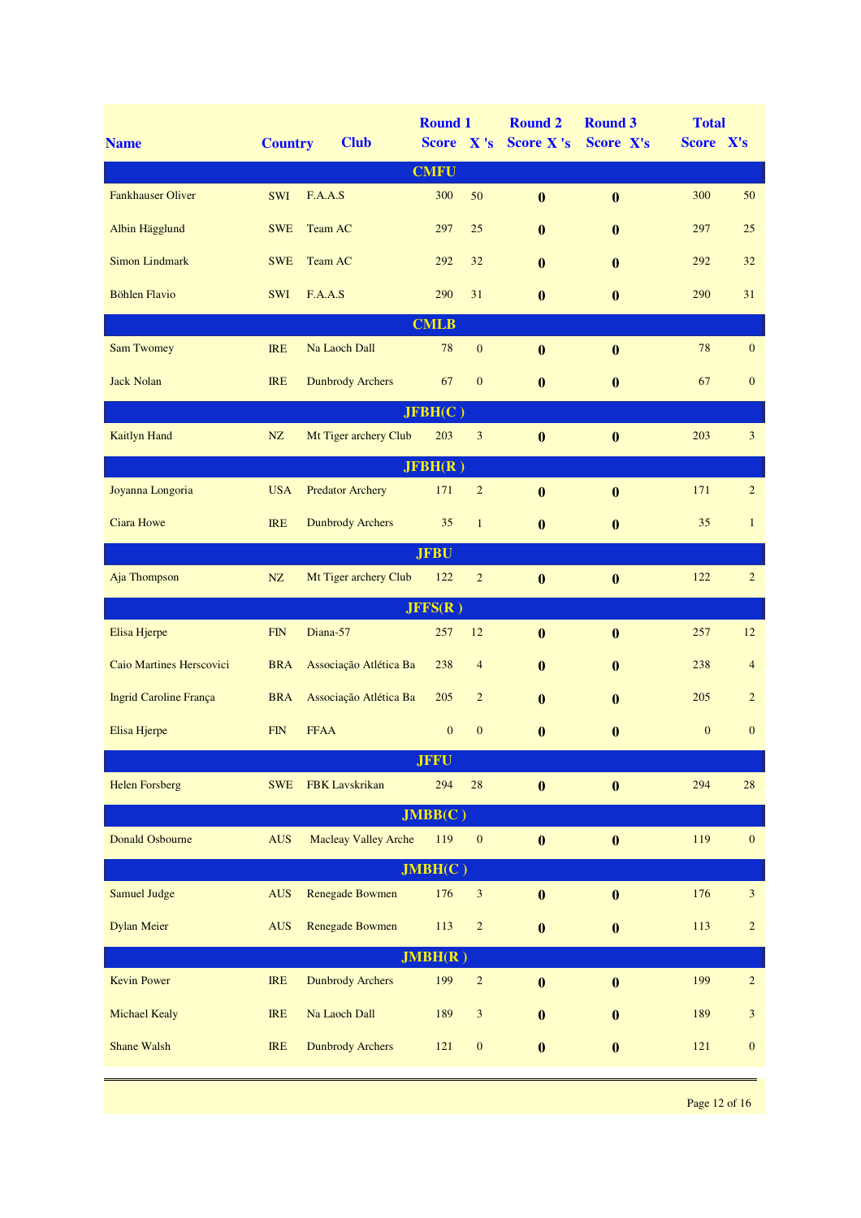| <b>Name</b>                   | <b>Country</b> | <b>Club</b>                 | <b>Round 1</b><br>Score X's |                  | <b>Round 2</b><br><b>Score X's</b> | <b>Round 3</b><br>Score X's | <b>Total</b><br>Score X's |                  |
|-------------------------------|----------------|-----------------------------|-----------------------------|------------------|------------------------------------|-----------------------------|---------------------------|------------------|
|                               |                |                             | <b>CMFU</b>                 |                  |                                    |                             |                           |                  |
| <b>Fankhauser Oliver</b>      | <b>SWI</b>     | F.A.A.S                     | 300                         | 50               | $\bf{0}$                           | $\bf{0}$                    | 300                       | 50               |
| Albin Hägglund                | <b>SWE</b>     | Team AC                     | 297                         | 25               | $\bf{0}$                           | $\bf{0}$                    | 297                       | 25               |
| <b>Simon Lindmark</b>         | <b>SWE</b>     | Team AC                     | 292                         | 32               | $\bf{0}$                           | $\bf{0}$                    | 292                       | 32               |
| <b>Böhlen Flavio</b>          | <b>SWI</b>     | F.A.A.S                     | 290                         | 31               | $\bf{0}$                           | $\boldsymbol{0}$            | 290                       | 31               |
|                               |                |                             | <b>CMLB</b>                 |                  |                                    |                             |                           |                  |
| <b>Sam Twomey</b>             | <b>IRE</b>     | Na Laoch Dall               | 78                          | $\boldsymbol{0}$ | $\bf{0}$                           | $\boldsymbol{0}$            | 78                        | $\boldsymbol{0}$ |
| <b>Jack Nolan</b>             | <b>IRE</b>     | <b>Dunbrody Archers</b>     | 67                          | $\mathbf{0}$     | $\bf{0}$                           | $\boldsymbol{0}$            | 67                        | $\mathbf{0}$     |
|                               |                |                             | JFBH(C)                     |                  |                                    |                             |                           |                  |
| <b>Kaitlyn Hand</b>           | NZ             | Mt Tiger archery Club       | 203                         | 3                | $\bf{0}$                           | $\bf{0}$                    | 203                       | $\overline{3}$   |
|                               |                |                             | JFBH(R)                     |                  |                                    |                             |                           |                  |
| Joyanna Longoria              | <b>USA</b>     | <b>Predator Archery</b>     | 171                         | $\overline{c}$   | $\bf{0}$                           | $\bf{0}$                    | 171                       | $\overline{2}$   |
| <b>Ciara Howe</b>             | <b>IRE</b>     | <b>Dunbrody Archers</b>     | 35                          | $\mathbf{1}$     | $\bf{0}$                           | $\bf{0}$                    | 35                        | $\mathbf{1}$     |
|                               |                |                             | <b>JFBU</b>                 |                  |                                    |                             |                           |                  |
| Aja Thompson                  | NZ             | Mt Tiger archery Club       | 122                         | $\overline{c}$   | $\bf{0}$                           | $\bf{0}$                    | 122                       | $\overline{2}$   |
|                               |                |                             | JFFS(R)                     |                  |                                    |                             |                           |                  |
| Elisa Hjerpe                  | FIN            | Diana-57                    | 257                         | 12               | $\bf{0}$                           | $\boldsymbol{0}$            | 257                       | 12               |
| Caio Martines Herscovici      | <b>BRA</b>     | Associação Atlética Ba      | 238                         | $\overline{4}$   | $\bf{0}$                           | $\bf{0}$                    | 238                       | $\overline{4}$   |
| <b>Ingrid Caroline França</b> | <b>BRA</b>     | Associação Atlética Ba      | 205                         | $\overline{2}$   | $\bf{0}$                           | $\mathbf{0}$                | 205                       | $\overline{2}$   |
| Elisa Hjerpe                  | <b>FIN</b>     | <b>FFAA</b>                 | $\boldsymbol{0}$            | $\mathbf{0}$     | $\bf{0}$                           | $\bf{0}$                    | $\boldsymbol{0}$          | $\mathbf{0}$     |
|                               |                |                             | <b>JFFU</b>                 |                  |                                    |                             |                           |                  |
| <b>Helen Forsberg</b>         | <b>SWE</b>     | FBK Lavskrikan              | 294                         | 28               | $\bf{0}$                           | $\bf{0}$                    | 294                       | 28               |
|                               |                |                             | JMBB(C)                     |                  |                                    |                             |                           |                  |
| <b>Donald Osbourne</b>        | <b>AUS</b>     | <b>Macleay Valley Arche</b> | 119                         | $\boldsymbol{0}$ | $\bf{0}$                           | $\bf{0}$                    | 119                       | $\boldsymbol{0}$ |
|                               |                |                             | JMBH(C)                     |                  |                                    |                             |                           |                  |
| Samuel Judge                  | <b>AUS</b>     | <b>Renegade Bowmen</b>      | 176                         | $\mathfrak{Z}$   | $\boldsymbol{0}$                   | $\boldsymbol{0}$            | 176                       | $\mathfrak{Z}$   |
| <b>Dylan Meier</b>            | <b>AUS</b>     | <b>Renegade Bowmen</b>      | 113                         | $\sqrt{2}$       | $\bf{0}$                           | $\bf{0}$                    | 113                       | $\overline{c}$   |
|                               |                |                             | JMBH(R)                     |                  |                                    |                             |                           |                  |
| <b>Kevin Power</b>            | <b>IRE</b>     | <b>Dunbrody Archers</b>     | 199                         | $\sqrt{2}$       | $\bf{0}$                           | $\boldsymbol{0}$            | 199                       | $\overline{c}$   |
| <b>Michael Kealy</b>          | IRE            | Na Laoch Dall               | 189                         | $\mathfrak{Z}$   | $\bf{0}$                           | $\boldsymbol{0}$            | 189                       | $\mathfrak{Z}$   |
| <b>Shane Walsh</b>            | <b>IRE</b>     | <b>Dunbrody Archers</b>     | 121                         | $\boldsymbol{0}$ | $\bf{0}$                           | $\boldsymbol{0}$            | 121                       | $\mathbf{0}$     |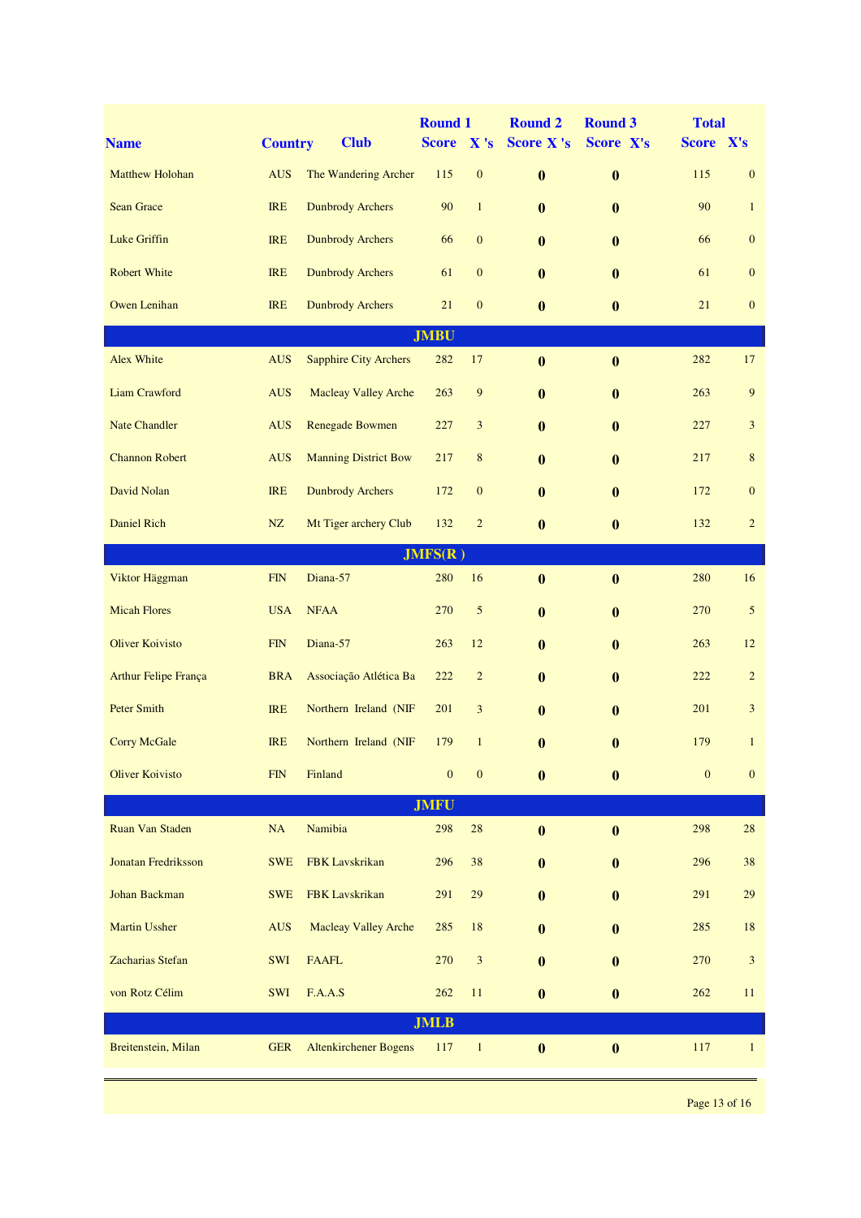| <b>Name</b>                 | <b>Country</b> | <b>Club</b>                  | <b>Round 1</b><br><b>Score</b> | $\mathbf{X}$ 's  | <b>Round 2</b><br><b>Score X's</b> | <b>Round 3</b><br>Score X's | <b>Total</b><br>Score X's |                  |  |
|-----------------------------|----------------|------------------------------|--------------------------------|------------------|------------------------------------|-----------------------------|---------------------------|------------------|--|
| <b>Matthew Holohan</b>      | <b>AUS</b>     | The Wandering Archer         | 115                            | $\boldsymbol{0}$ | $\bf{0}$                           | $\bf{0}$                    | 115                       | $\mathbf{0}$     |  |
| <b>Sean Grace</b>           | <b>IRE</b>     | <b>Dunbrody Archers</b>      | 90                             | $\mathbf{1}$     | $\bf{0}$                           | $\bf{0}$                    | 90                        | $\mathbf{1}$     |  |
| <b>Luke Griffin</b>         | <b>IRE</b>     | <b>Dunbrody Archers</b>      | 66                             | $\mathbf{0}$     | $\mathbf{0}$                       | $\bf{0}$                    | 66                        | $\boldsymbol{0}$ |  |
| <b>Robert White</b>         | <b>IRE</b>     | <b>Dunbrody Archers</b>      | 61                             | $\mathbf{0}$     | $\mathbf{0}$                       | $\bf{0}$                    | 61                        | $\mathbf{0}$     |  |
| <b>Owen Lenihan</b>         | <b>IRE</b>     | <b>Dunbrody Archers</b>      | 21                             | $\boldsymbol{0}$ | $\bf{0}$                           | $\bf{0}$                    | 21                        | $\mathbf{0}$     |  |
|                             |                |                              | <b>JMBU</b>                    |                  |                                    |                             |                           |                  |  |
| Alex White                  | <b>AUS</b>     | <b>Sapphire City Archers</b> | 282                            | 17               | $\bf{0}$                           | $\bf{0}$                    | 282                       | 17               |  |
| <b>Liam Crawford</b>        | <b>AUS</b>     | <b>Macleay Valley Arche</b>  | 263                            | $\overline{9}$   | $\mathbf{0}$                       | $\bf{0}$                    | 263                       | 9                |  |
| <b>Nate Chandler</b>        | <b>AUS</b>     | <b>Renegade Bowmen</b>       | 227                            | $\mathfrak{Z}$   | $\mathbf{0}$                       | $\bf{0}$                    | 227                       | 3                |  |
| <b>Channon Robert</b>       | <b>AUS</b>     | <b>Manning District Bow</b>  | 217                            | $\,$ 8 $\,$      | $\bf{0}$                           | $\bf{0}$                    | 217                       | $\,8\,$          |  |
| David Nolan                 | <b>IRE</b>     | <b>Dunbrody Archers</b>      | 172                            | $\mathbf{0}$     | $\bf{0}$                           | $\bf{0}$                    | 172                       | $\boldsymbol{0}$ |  |
| <b>Daniel Rich</b>          | NZ             | Mt Tiger archery Club        | 132                            | $\overline{c}$   | $\bf{0}$                           | $\bf{0}$                    | 132                       | $\overline{c}$   |  |
|                             |                |                              | JMFS(R)                        |                  |                                    |                             |                           |                  |  |
| Viktor Häggman              | FIN            | Diana-57                     | 280                            | 16               | $\bf{0}$                           | $\bf{0}$                    | 280                       | 16               |  |
| <b>Micah Flores</b>         | <b>USA</b>     | <b>NFAA</b>                  | 270                            | 5                | $\bf{0}$                           | $\bf{0}$                    | 270                       | 5                |  |
| <b>Oliver Koivisto</b>      | FIN            | Diana-57                     | 263                            | 12               | $\bf{0}$                           | $\bf{0}$                    | 263                       | 12               |  |
| <b>Arthur Felipe França</b> | <b>BRA</b>     | Associação Atlética Ba       | 222                            | $\overline{c}$   | $\bf{0}$                           | $\bf{0}$                    | 222                       | $\sqrt{2}$       |  |
| <b>Peter Smith</b>          | <b>IRE</b>     | Northern Ireland (NIF        | 201                            | 3                | $\bf{0}$                           | $\bf{0}$                    | 201                       | 3                |  |
| <b>Corry McGale</b>         | <b>IRE</b>     | Northern Ireland (NIF        | 179                            | $\mathbf{1}$     | $\bf{0}$                           | $\bf{0}$                    | 179                       | $\mathbf{1}$     |  |
| <b>Oliver Koivisto</b>      | FIN            | Finland                      | $\mathbf{0}$                   | $\boldsymbol{0}$ | $\bf{0}$                           | $\bf{0}$                    | $\mathbf{0}$              | $\mathbf{0}$     |  |
| <b>JMFU</b>                 |                |                              |                                |                  |                                    |                             |                           |                  |  |
| Ruan Van Staden             | NA             | Namibia                      | 298                            | $\sqrt{28}$      | $\bf{0}$                           | $\boldsymbol{0}$            | 298                       | $28\,$           |  |
| <b>Jonatan Fredriksson</b>  | <b>SWE</b>     | <b>FBK</b> Lavskrikan        | 296                            | 38               | $\bf{0}$                           | $\bf{0}$                    | 296                       | 38               |  |
| Johan Backman               | <b>SWE</b>     | FBK Lavskrikan               | 291                            | 29               | $\bf{0}$                           | $\bf{0}$                    | 291                       | 29               |  |
| <b>Martin Ussher</b>        | <b>AUS</b>     | <b>Macleay Valley Arche</b>  | 285                            | 18               | $\bf{0}$                           | $\bf{0}$                    | 285                       | 18               |  |
| Zacharias Stefan            | SWI            | <b>FAAFL</b>                 | 270                            | $\mathfrak{Z}$   | $\bf{0}$                           | $\bf{0}$                    | 270                       | $\sqrt{3}$       |  |
| von Rotz Célim              | <b>SWI</b>     | F.A.A.S                      | 262                            | 11               | $\bf{0}$                           | $\bf{0}$                    | 262                       | 11               |  |
|                             |                |                              | <b>JMLB</b>                    |                  |                                    |                             |                           |                  |  |
| Breitenstein, Milan         | <b>GER</b>     | <b>Altenkirchener Bogens</b> | 117                            | $\mathbf{1}$     | $\bf{0}$                           | $\boldsymbol{0}$            | 117                       | $\mathbf{1}$     |  |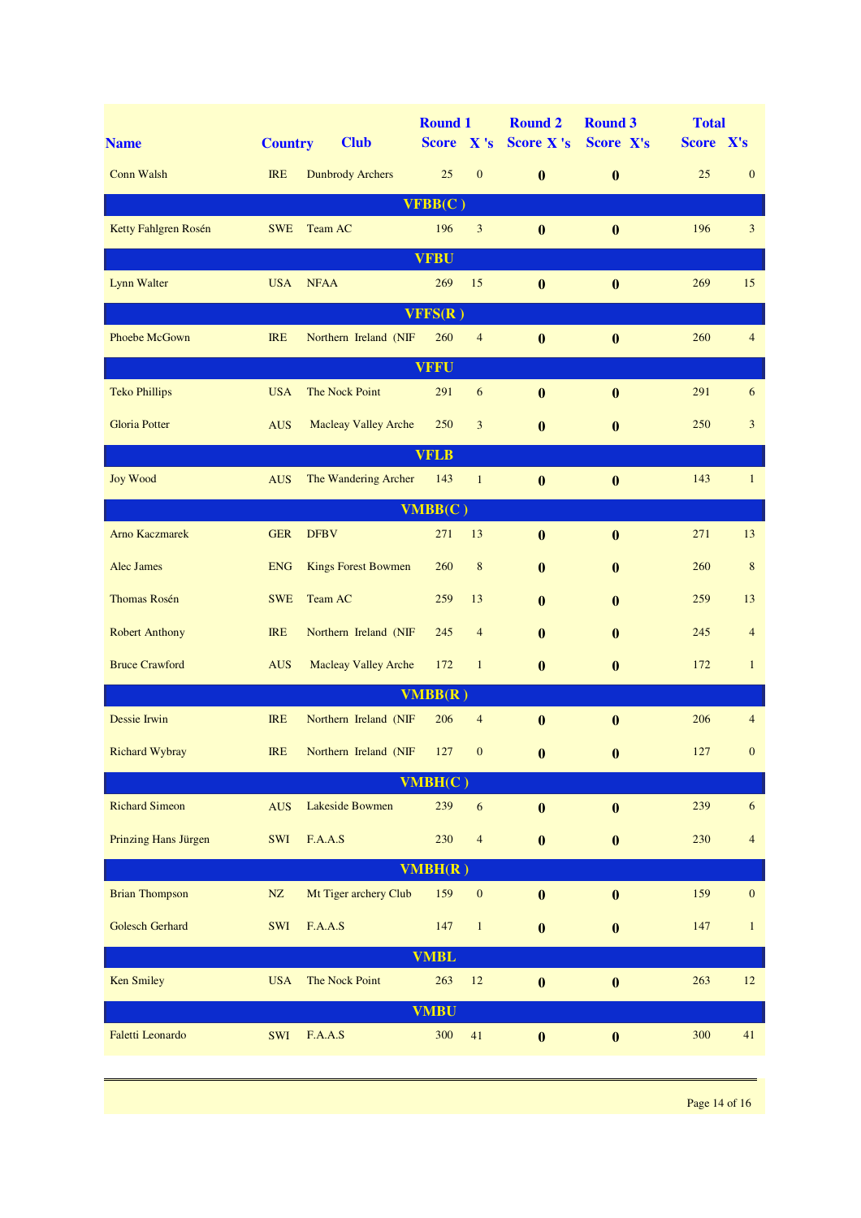| <b>Name</b>                 | <b>Country</b> | <b>Club</b>                 | <b>Round 1</b><br>Score X's |                  | <b>Round 2</b><br><b>Score X's</b> | <b>Round 3</b><br>Score X's | <b>Total</b><br>Score X's |                  |  |
|-----------------------------|----------------|-----------------------------|-----------------------------|------------------|------------------------------------|-----------------------------|---------------------------|------------------|--|
| <b>Conn Walsh</b>           | <b>IRE</b>     | <b>Dunbrody Archers</b>     | 25                          | $\boldsymbol{0}$ | $\bf{0}$                           | $\bf{0}$                    | 25                        | $\mathbf{0}$     |  |
|                             |                |                             | VFBB(C)                     |                  |                                    |                             |                           |                  |  |
| Ketty Fahlgren Rosén        | <b>SWE</b>     | Team AC                     | 196                         | 3                | $\boldsymbol{0}$                   | $\bf{0}$                    | 196                       | 3                |  |
|                             |                |                             | <b>VFBU</b>                 |                  |                                    |                             |                           |                  |  |
| <b>Lynn Walter</b>          | <b>USA</b>     | <b>NFAA</b>                 | 269                         | 15               | $\bf{0}$                           | $\boldsymbol{0}$            | 269                       | 15               |  |
|                             |                |                             | VFFS(R)                     |                  |                                    |                             |                           |                  |  |
| Phoebe McGown               | <b>IRE</b>     | Northern Ireland (NIF       | 260                         | $\overline{4}$   | $\bf{0}$                           | $\bf{0}$                    | 260                       | $\overline{4}$   |  |
|                             |                |                             | <b>VFFU</b>                 |                  |                                    |                             |                           |                  |  |
| <b>Teko Phillips</b>        | <b>USA</b>     | The Nock Point              | 291                         | 6                | $\bf{0}$                           | $\bf{0}$                    | 291                       | 6                |  |
| <b>Gloria Potter</b>        | <b>AUS</b>     | <b>Macleay Valley Arche</b> | 250                         | 3                | $\bf{0}$                           | $\bf{0}$                    | 250                       | 3                |  |
|                             |                |                             | <b>VFLB</b>                 |                  |                                    |                             |                           |                  |  |
| <b>Joy Wood</b>             | <b>AUS</b>     | The Wandering Archer        | 143                         | $\mathbf{1}$     | $\bf{0}$                           | $\bf{0}$                    | 143                       | $\mathbf{1}$     |  |
|                             |                |                             | VMBB(C)                     |                  |                                    |                             |                           |                  |  |
| <b>Arno Kaczmarek</b>       | <b>GER</b>     | <b>DFBV</b>                 | 271                         | 13               | $\bf{0}$                           | $\bf{0}$                    | 271                       | 13               |  |
| <b>Alec James</b>           | <b>ENG</b>     | <b>Kings Forest Bowmen</b>  | 260                         | $\,$ 8 $\,$      | $\bf{0}$                           | $\bf{0}$                    | 260                       | $\,8\,$          |  |
| <b>Thomas Rosén</b>         | <b>SWE</b>     | Team AC                     | 259                         | 13               | $\mathbf{0}$                       | $\mathbf{0}$                | 259                       | 13               |  |
| <b>Robert Anthony</b>       | <b>IRE</b>     | Northern Ireland (NIF       | 245                         | $\overline{4}$   | $\mathbf{0}$                       | $\mathbf{0}$                | 245                       | $\overline{4}$   |  |
| <b>Bruce Crawford</b>       | <b>AUS</b>     | <b>Macleay Valley Arche</b> | 172                         | $\mathbf{1}$     | $\bf{0}$                           | $\bf{0}$                    | 172                       | $\mathbf{1}$     |  |
|                             |                |                             | VMBB(R)                     |                  |                                    |                             |                           |                  |  |
| Dessie Irwin                | <b>IRE</b>     | Northern Ireland (NIF       | 206                         | $\overline{4}$   | $\bf{0}$                           | $\mathbf{0}$                | 206                       | $\overline{4}$   |  |
| Richard Wybray              | IRE            | Northern Ireland (NIF 127 0 |                             |                  | $\mathbf{0}$ and $\mathbf{0}$      | $\mathbf{0}$                | 127                       | $\mathbf{0}$     |  |
|                             |                |                             | VMBH(C)                     |                  |                                    |                             |                           |                  |  |
| <b>Richard Simeon</b>       | <b>AUS</b>     | Lakeside Bowmen             | 239                         | 6                | $\boldsymbol{0}$                   | $\bf{0}$                    | 239                       | $\sqrt{6}$       |  |
| <b>Prinzing Hans Jürgen</b> | SWI            | F.A.A.S                     | 230                         | $\overline{4}$   | $\boldsymbol{0}$                   | $\boldsymbol{0}$            | 230                       | $\overline{4}$   |  |
|                             |                |                             | VMBH(R)                     |                  |                                    |                             |                           |                  |  |
| <b>Brian Thompson</b>       | $\rm{NZ}$      | Mt Tiger archery Club       | 159                         | $\boldsymbol{0}$ | $\boldsymbol{0}$                   | $\boldsymbol{0}$            | 159                       | $\boldsymbol{0}$ |  |
| Golesch Gerhard             | SWI            | F.A.A.S                     | 147                         | $\,1$            | $\boldsymbol{0}$                   | $\boldsymbol{0}$            | 147                       | $\mathbf{1}$     |  |
| <b>VMBL</b>                 |                |                             |                             |                  |                                    |                             |                           |                  |  |
| <b>Ken Smiley</b>           | <b>USA</b>     | The Nock Point              | 263                         | 12               | $\boldsymbol{0}$                   | $\bf{0}$                    | 263                       | 12               |  |
|                             |                |                             | <b>VMBU</b>                 |                  |                                    |                             |                           |                  |  |
| Faletti Leonardo            | SWI            | F.A.A.S                     | 300                         | 41               | $\boldsymbol{0}$                   | $\boldsymbol{0}$            | 300                       | 41               |  |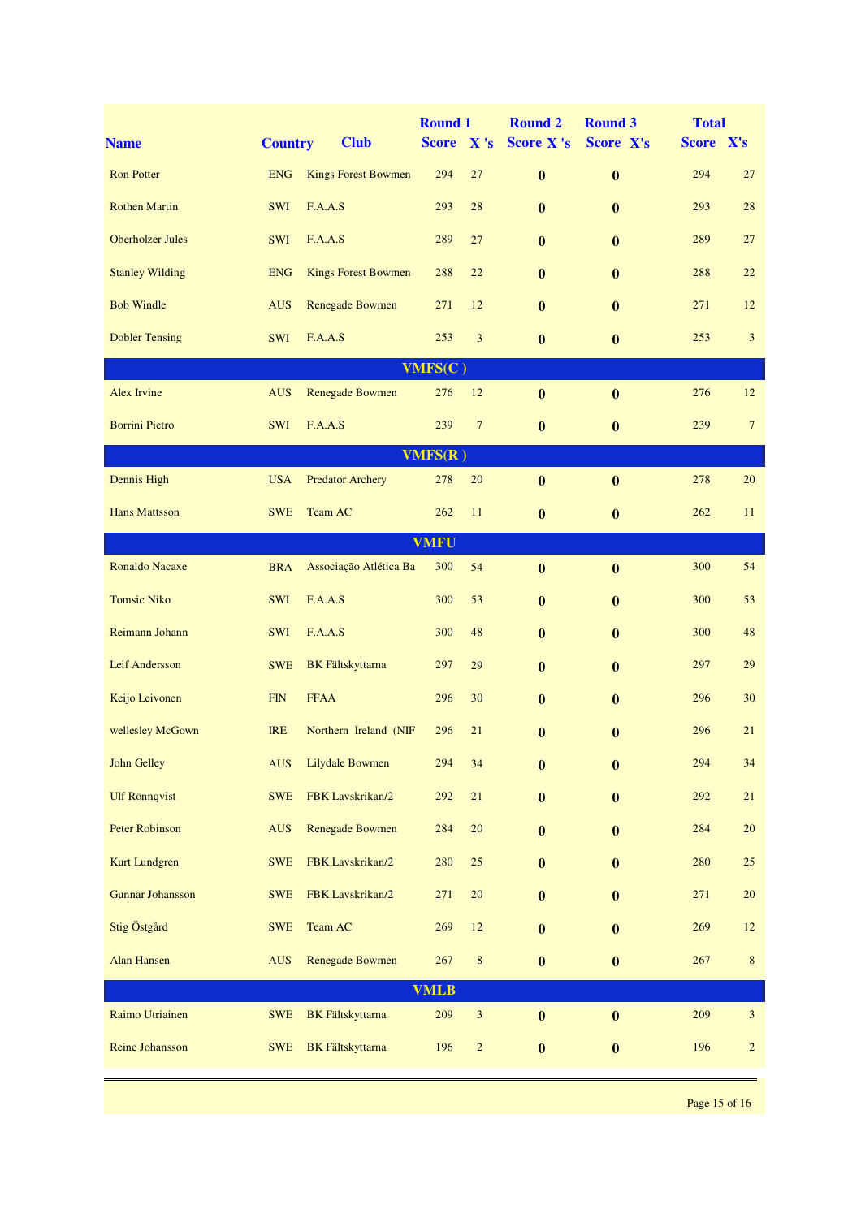| <b>Name</b>             | <b>Country</b> | <b>Club</b>                | <b>Round 1</b><br><b>Score</b> | $\mathbf{X}$ 's             | <b>Round 2</b><br><b>Score X's</b> | <b>Round 3</b><br>Score X's | <b>Total</b><br>Score X's |                 |  |
|-------------------------|----------------|----------------------------|--------------------------------|-----------------------------|------------------------------------|-----------------------------|---------------------------|-----------------|--|
| <b>Ron Potter</b>       | <b>ENG</b>     | <b>Kings Forest Bowmen</b> | 294                            | 27                          | $\bf{0}$                           | $\bf{0}$                    | 294                       | 27              |  |
| <b>Rothen Martin</b>    | SWI            | F.A.A.S                    | 293                            | 28                          | $\bf{0}$                           | $\bf{0}$                    | 293                       | 28              |  |
| <b>Oberholzer Jules</b> | <b>SWI</b>     | F.A.A.S                    | 289                            | 27                          | $\mathbf{0}$                       | $\bf{0}$                    | 289                       | 27              |  |
| <b>Stanley Wilding</b>  | <b>ENG</b>     | <b>Kings Forest Bowmen</b> | 288                            | 22                          | $\mathbf{0}$                       | $\bf{0}$                    | 288                       | 22              |  |
| <b>Bob Windle</b>       | <b>AUS</b>     | <b>Renegade Bowmen</b>     | 271                            | 12                          | $\mathbf{0}$                       | $\bf{0}$                    | 271                       | 12              |  |
| <b>Dobler Tensing</b>   | <b>SWI</b>     | F.A.A.S                    | 253                            | $\overline{3}$              | $\bf{0}$                           | $\bf{0}$                    | 253                       | $\mathfrak{Z}$  |  |
|                         |                |                            | VMFS(C)                        |                             |                                    |                             |                           |                 |  |
| <b>Alex Irvine</b>      | <b>AUS</b>     | <b>Renegade Bowmen</b>     | 276                            | 12                          | $\bf{0}$                           | $\bf{0}$                    | 276                       | 12              |  |
| <b>Borrini Pietro</b>   | <b>SWI</b>     | F.A.A.S                    | 239                            | $7\phantom{.0}$             | $\bf{0}$                           | $\boldsymbol{0}$            | 239                       | $7\overline{ }$ |  |
|                         |                |                            | VMFS(R)                        |                             |                                    |                             |                           |                 |  |
| Dennis High             | <b>USA</b>     | <b>Predator Archery</b>    | 278                            | 20                          | $\bf{0}$                           | $\bf{0}$                    | 278                       | 20              |  |
| <b>Hans Mattsson</b>    | <b>SWE</b>     | Team AC                    | 262                            | 11                          | $\bf{0}$                           | $\boldsymbol{0}$            | 262                       | 11              |  |
| <b>VMFU</b>             |                |                            |                                |                             |                                    |                             |                           |                 |  |
| <b>Ronaldo Nacaxe</b>   | <b>BRA</b>     | Associação Atlética Ba     | 300                            | 54                          | $\bf{0}$                           | $\bf{0}$                    | 300                       | 54              |  |
| <b>Tomsic Niko</b>      | <b>SWI</b>     | F.A.A.S                    | 300                            | 53                          | $\mathbf{0}$                       | $\bf{0}$                    | 300                       | 53              |  |
| Reimann Johann          | <b>SWI</b>     | F.A.A.S                    | 300                            | 48                          | $\bf{0}$                           | $\bf{0}$                    | 300                       | 48              |  |
| Leif Andersson          | <b>SWE</b>     | <b>BK</b> Fältskyttarna    | 297                            | 29                          | $\bf{0}$                           | $\bf{0}$                    | 297                       | 29              |  |
| Keijo Leivonen          | <b>FIN</b>     | <b>FFAA</b>                | 296                            | 30                          | $\bf{0}$                           | $\bf{0}$                    | 296                       | 30              |  |
| wellesley McGown        | <b>IRE</b>     | Northern Ireland (NIF      | 296                            | 21                          | $\bf{0}$                           | $\bf{0}$                    | 296                       | 21              |  |
| <b>John Gelley</b>      | <b>AUS</b>     | <b>Lilydale Bowmen</b>     | 294                            | 34                          | $\bf{0}$                           | $\bf{0}$                    | 294                       | 34              |  |
| <b>Ulf Rönnqvist</b>    | <b>SWE</b>     | FBK Lavskrikan/2           | 292                            | $21\,$                      | $\bf{0}$                           | $\bf{0}$                    | 292                       | 21              |  |
| <b>Peter Robinson</b>   | <b>AUS</b>     | <b>Renegade Bowmen</b>     | 284                            | $20\,$                      | $\bf{0}$                           | $\bf{0}$                    | 284                       | $20\,$          |  |
| Kurt Lundgren           | <b>SWE</b>     | FBK Lavskrikan/2           | 280                            | 25                          | $\bf{0}$                           | $\bf{0}$                    | 280                       | 25              |  |
| <b>Gunnar Johansson</b> | <b>SWE</b>     | FBK Lavskrikan/2           | 271                            | 20                          | $\bf{0}$                           | $\bf{0}$                    | 271                       | 20              |  |
| Stig Östgård            | <b>SWE</b>     | Team AC                    | 269                            | 12                          | $\bf{0}$                           | $\bf{0}$                    | 269                       | 12              |  |
| <b>Alan Hansen</b>      | <b>AUS</b>     | <b>Renegade Bowmen</b>     | 267                            | $\,$ 8 $\,$                 | $\bf{0}$                           | $\bf{0}$                    | 267                       | 8               |  |
| <b>VMLB</b>             |                |                            |                                |                             |                                    |                             |                           |                 |  |
| Raimo Utriainen         | <b>SWE</b>     | <b>BK</b> Fältskyttarna    | 209                            | $\ensuremath{\mathfrak{Z}}$ | $\bf{0}$                           | $\boldsymbol{0}$            | 209                       | $\mathfrak{Z}$  |  |
| Reine Johansson         | <b>SWE</b>     | <b>BK</b> Fältskyttarna    | 196                            | $\overline{c}$              | $\boldsymbol{0}$                   | $\boldsymbol{0}$            | 196                       | $\overline{c}$  |  |